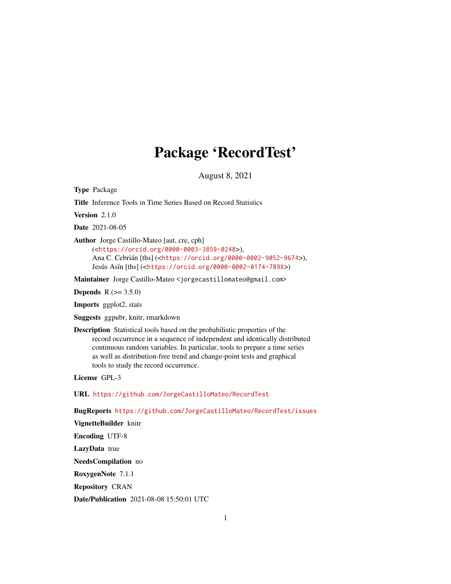# Package 'RecordTest'

August 8, 2021

<span id="page-0-0"></span>Type Package

Title Inference Tools in Time Series Based on Record Statistics

Version 2.1.0

Date 2021-08-05

Author Jorge Castillo-Mateo [aut, cre, cph]

(<<https://orcid.org/0000-0003-3859-0248>>), Ana C. Cebrián [ths] (<<https://orcid.org/0000-0002-9052-9674>>), Jesús Asín [ths] (<<https://orcid.org/0000-0002-0174-789X>>)

Maintainer Jorge Castillo-Mateo <jorgecastillomateo@gmail.com>

**Depends** R  $(>= 3.5.0)$ 

Imports ggplot2, stats

Suggests ggpubr, knitr, rmarkdown

Description Statistical tools based on the probabilistic properties of the record occurrence in a sequence of independent and identically distributed continuous random variables. In particular, tools to prepare a time series as well as distribution-free trend and change-point tests and graphical tools to study the record occurrence.

License GPL-3

URL <https://github.com/JorgeCastilloMateo/RecordTest>

BugReports <https://github.com/JorgeCastilloMateo/RecordTest/issues>

VignetteBuilder knitr

Encoding UTF-8

LazyData true

NeedsCompilation no

RoxygenNote 7.1.1

Repository CRAN

Date/Publication 2021-08-08 15:50:01 UTC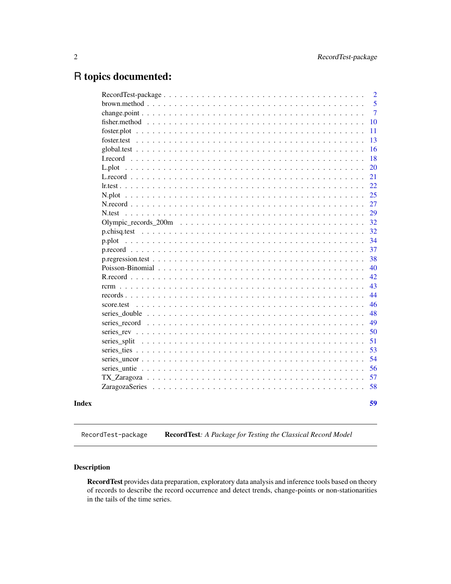# <span id="page-1-0"></span>R topics documented:

|              |  |  |  |  |  |  |  |  |  |  |  | $\overline{2}$ |
|--------------|--|--|--|--|--|--|--|--|--|--|--|----------------|
|              |  |  |  |  |  |  |  |  |  |  |  | 5              |
|              |  |  |  |  |  |  |  |  |  |  |  | $\overline{7}$ |
|              |  |  |  |  |  |  |  |  |  |  |  | 10             |
|              |  |  |  |  |  |  |  |  |  |  |  | 11             |
|              |  |  |  |  |  |  |  |  |  |  |  | 13             |
|              |  |  |  |  |  |  |  |  |  |  |  | 16             |
|              |  |  |  |  |  |  |  |  |  |  |  | 18             |
|              |  |  |  |  |  |  |  |  |  |  |  | 20             |
|              |  |  |  |  |  |  |  |  |  |  |  | 21             |
|              |  |  |  |  |  |  |  |  |  |  |  | 22             |
|              |  |  |  |  |  |  |  |  |  |  |  | 25             |
|              |  |  |  |  |  |  |  |  |  |  |  | 27             |
| N.test       |  |  |  |  |  |  |  |  |  |  |  | 29             |
|              |  |  |  |  |  |  |  |  |  |  |  | 32             |
|              |  |  |  |  |  |  |  |  |  |  |  | 32             |
| p.plot       |  |  |  |  |  |  |  |  |  |  |  | 34             |
|              |  |  |  |  |  |  |  |  |  |  |  | 37             |
|              |  |  |  |  |  |  |  |  |  |  |  | 38             |
|              |  |  |  |  |  |  |  |  |  |  |  | 40             |
|              |  |  |  |  |  |  |  |  |  |  |  | 42             |
|              |  |  |  |  |  |  |  |  |  |  |  | 43             |
|              |  |  |  |  |  |  |  |  |  |  |  | 44             |
| score.test   |  |  |  |  |  |  |  |  |  |  |  | 46             |
|              |  |  |  |  |  |  |  |  |  |  |  | 48             |
|              |  |  |  |  |  |  |  |  |  |  |  | 49             |
|              |  |  |  |  |  |  |  |  |  |  |  | 50             |
| series split |  |  |  |  |  |  |  |  |  |  |  | 51             |
|              |  |  |  |  |  |  |  |  |  |  |  | 53             |
|              |  |  |  |  |  |  |  |  |  |  |  | 54             |
|              |  |  |  |  |  |  |  |  |  |  |  | 56             |
|              |  |  |  |  |  |  |  |  |  |  |  | 57             |
|              |  |  |  |  |  |  |  |  |  |  |  | 58             |
|              |  |  |  |  |  |  |  |  |  |  |  | 59             |
|              |  |  |  |  |  |  |  |  |  |  |  |                |

<span id="page-1-1"></span>RecordTest-package RecordTest: A Package for Testing the Classical Record Model

# Description

RecordTest provides data preparation, exploratory data analysis and inference tools based on theory of records to describe the record occurrence and detect trends, change-points or non-stationarities in the tails of the time series.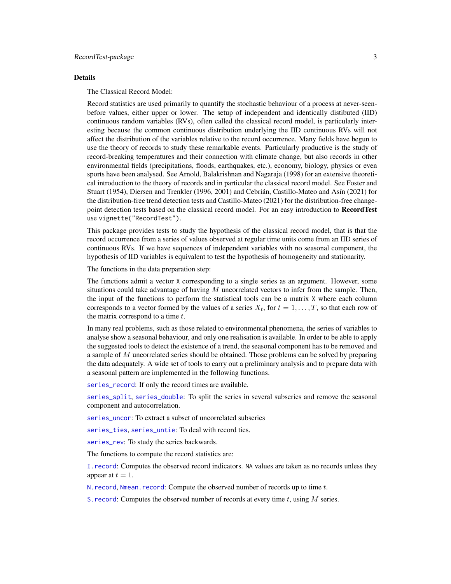#### <span id="page-2-0"></span>Details

The Classical Record Model:

Record statistics are used primarily to quantify the stochastic behaviour of a process at never-seenbefore values, either upper or lower. The setup of independent and identically distibuted (IID) continuous random variables (RVs), often called the classical record model, is particularly interesting because the common continuous distribution underlying the IID continuous RVs will not affect the distribution of the variables relative to the record occurrence. Many fields have begun to use the theory of records to study these remarkable events. Particularly productive is the study of record-breaking temperatures and their connection with climate change, but also records in other environmental fields (precipitations, floods, earthquakes, etc.), economy, biology, physics or even sports have been analysed. See Arnold, Balakrishnan and Nagaraja (1998) for an extensive theoretical introduction to the theory of records and in particular the classical record model. See Foster and Stuart (1954), Diersen and Trenkler (1996, 2001) and Cebrián, Castillo-Mateo and Asín (2021) for the distribution-free trend detection tests and Castillo-Mateo (2021) for the distribution-free changepoint detection tests based on the classical record model. For an easy introduction to **RecordTest** use vignette("RecordTest").

This package provides tests to study the hypothesis of the classical record model, that is that the record occurrence from a series of values observed at regular time units come from an IID series of continuous RVs. If we have sequences of independent variables with no seasonal component, the hypothesis of IID variables is equivalent to test the hypothesis of homogeneity and stationarity.

The functions in the data preparation step:

The functions admit a vector X corresponding to a single series as an argument. However, some situations could take advantage of having  $M$  uncorrelated vectors to infer from the sample. Then, the input of the functions to perform the statistical tools can be a matrix X where each column corresponds to a vector formed by the values of a series  $X_t$ , for  $t = 1, \ldots, T$ , so that each row of the matrix correspond to a time  $t$ .

In many real problems, such as those related to environmental phenomena, the series of variables to analyse show a seasonal behaviour, and only one realisation is available. In order to be able to apply the suggested tools to detect the existence of a trend, the seasonal component has to be removed and a sample of  $M$  uncorrelated series should be obtained. Those problems can be solved by preparing the data adequately. A wide set of tools to carry out a preliminary analysis and to prepare data with a seasonal pattern are implemented in the following functions.

[series\\_record](#page-48-1): If only the record times are available.

[series\\_split](#page-50-1), [series\\_double](#page-47-1): To split the series in several subseries and remove the seasonal component and autocorrelation.

[series\\_uncor](#page-53-1): To extract a subset of uncorrelated subseries

[series\\_ties](#page-52-1), [series\\_untie](#page-55-1): To deal with record ties.

[series\\_rev](#page-49-1): To study the series backwards.

The functions to compute the record statistics are:

[I.record](#page-17-1): Computes the observed record indicators. NA values are taken as no records unless they appear at  $t = 1$ .

N. record, Nmean. record: Compute the observed number of records up to time  $t$ .

S. record: Computes the observed number of records at every time  $t$ , using  $M$  series.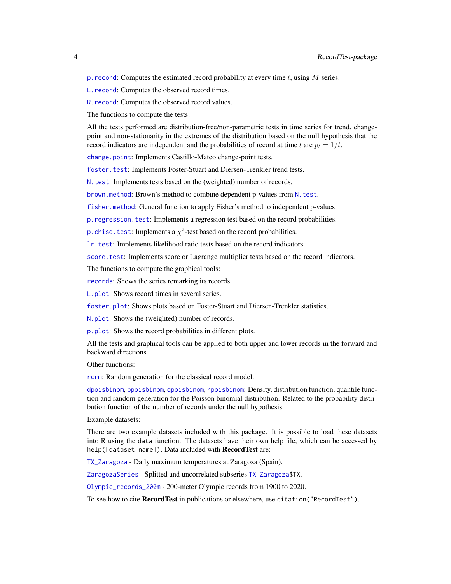<span id="page-3-0"></span>p. record: Computes the estimated record probability at every time  $t$ , using  $M$  series.

[L.record](#page-20-1): Computes the observed record times.

[R.record](#page-41-1): Computes the observed record values.

The functions to compute the tests:

All the tests performed are distribution-free/non-parametric tests in time series for trend, changepoint and non-stationarity in the extremes of the distribution based on the null hypothesis that the record indicators are independent and the probabilities of record at time t are  $p_t = 1/t$ .

[change.point](#page-6-1): Implements Castillo-Mateo change-point tests.

[foster.test](#page-12-1): Implements Foster-Stuart and Diersen-Trenkler trend tests.

[N.test](#page-28-1): Implements tests based on the (weighted) number of records.

[brown.method](#page-4-1): Brown's method to combine dependent p-values from [N.test](#page-28-1).

[fisher.method](#page-9-1): General function to apply Fisher's method to independent p-values.

p. regression. test: Implements a regression test based on the record probabilities.

[p.chisq.test](#page-31-1): Implements a  $\chi^2$ -test based on the record probabilities.

[lr.test](#page-21-1): Implements likelihood ratio tests based on the record indicators.

[score.test](#page-45-1): Implements score or Lagrange multiplier tests based on the record indicators.

The functions to compute the graphical tools:

[records](#page-43-1): Shows the series remarking its records.

[L.plot](#page-19-1): Shows record times in several series.

[foster.plot](#page-10-1): Shows plots based on Foster-Stuart and Diersen-Trenkler statistics.

[N.plot](#page-24-1): Shows the (weighted) number of records.

[p.plot](#page-33-1): Shows the record probabilities in different plots.

All the tests and graphical tools can be applied to both upper and lower records in the forward and backward directions.

Other functions:

[rcrm](#page-42-1): Random generation for the classical record model.

[dpoisbinom](#page-39-1), [ppoisbinom](#page-39-1), [qpoisbinom](#page-39-1), [rpoisbinom](#page-39-1): Density, distribution function, quantile function and random generation for the Poisson binomial distribution. Related to the probability distribution function of the number of records under the null hypothesis.

Example datasets:

There are two example datasets included with this package. It is possible to load these datasets into R using the data function. The datasets have their own help file, which can be accessed by help([dataset\_name]). Data included with RecordTest are:

[TX\\_Zaragoza](#page-56-1) - Daily maximum temperatures at Zaragoza (Spain).

[ZaragozaSeries](#page-57-1) - Splitted and uncorrelated subseries [TX\\_Zaragoza\\$](#page-56-1)TX.

[Olympic\\_records\\_200m](#page-31-2) - 200-meter Olympic records from 1900 to 2020.

To see how to cite RecordTest in publications or elsewhere, use citation ("RecordTest").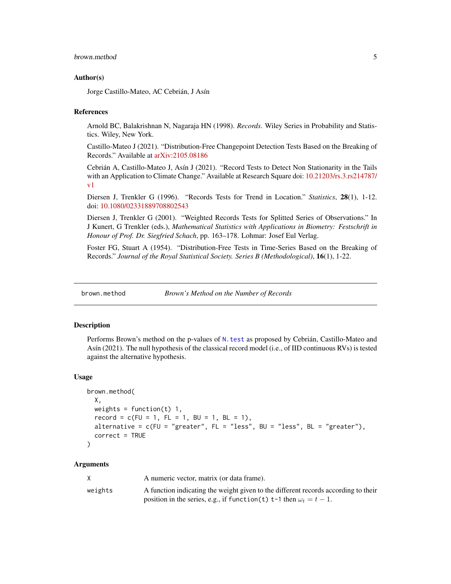# <span id="page-4-0"></span>brown.method 5

#### Author(s)

Jorge Castillo-Mateo, AC Cebrián, J Asín

#### **References**

Arnold BC, Balakrishnan N, Nagaraja HN (1998). *Records*. Wiley Series in Probability and Statistics. Wiley, New York.

Castillo-Mateo J (2021). "Distribution-Free Changepoint Detection Tests Based on the Breaking of Records." Available at [arXiv:2105.08186](https://arxiv.org/abs/2105.08186)

Cebrián A, Castillo-Mateo J, Asín J (2021). "Record Tests to Detect Non Stationarity in the Tails with an Application to Climate Change." Available at Research Square doi: [10.21203/rs.3.rs214787/](https://doi.org/10.21203/rs.3.rs-214787/v1) [v1](https://doi.org/10.21203/rs.3.rs-214787/v1)

Diersen J, Trenkler G (1996). "Records Tests for Trend in Location." *Statistics*, 28(1), 1-12. doi: [10.1080/02331889708802543](https://doi.org/10.1080/02331889708802543)

Diersen J, Trenkler G (2001). "Weighted Records Tests for Splitted Series of Observations." In J Kunert, G Trenkler (eds.), *Mathematical Statistics with Applications in Biometry: Festschrift in Honour of Prof. Dr. Siegfried Schach*, pp. 163–178. Lohmar: Josef Eul Verlag.

Foster FG, Stuart A (1954). "Distribution-Free Tests in Time-Series Based on the Breaking of Records." *Journal of the Royal Statistical Society. Series B (Methodological)*, 16(1), 1-22.

<span id="page-4-1"></span>brown.method *Brown's Method on the Number of Records*

#### Description

Performs Brown's method on the p-values of [N.test](#page-28-1) as proposed by Cebrián, Castillo-Mateo and Asín (2021). The null hypothesis of the classical record model (i.e., of IID continuous RVs) is tested against the alternative hypothesis.

#### Usage

```
brown.method(
 X,
 weights = function(t) 1,
  record = c(FU = 1, FL = 1, BU = 1, BL = 1),alternative = c(FU = "greater", FL = "less", BU = "less", BL = "greater",correct = TRUE)
```
#### Arguments

|         | A numeric vector, matrix (or data frame).                                          |
|---------|------------------------------------------------------------------------------------|
| weights | A function indicating the weight given to the different records according to their |
|         | position in the series, e.g., if function(t) t-1 then $\omega_t = t - 1$ .         |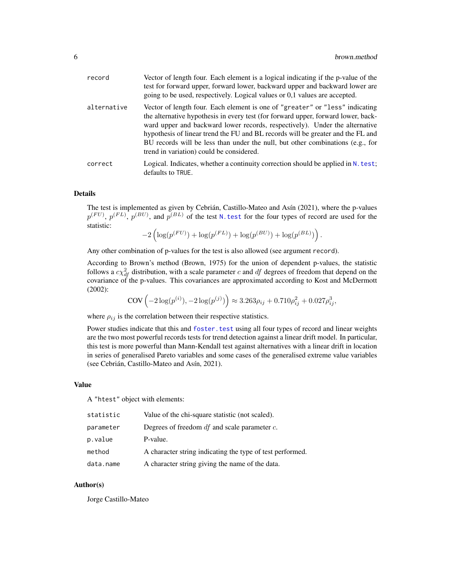<span id="page-5-0"></span>

| record      | Vector of length four. Each element is a logical indicating if the p-value of the<br>test for forward upper, forward lower, backward upper and backward lower are<br>going to be used, respectively. Logical values or 0,1 values are accepted.                                                                                                                                                                                                                   |
|-------------|-------------------------------------------------------------------------------------------------------------------------------------------------------------------------------------------------------------------------------------------------------------------------------------------------------------------------------------------------------------------------------------------------------------------------------------------------------------------|
| alternative | Vector of length four. Each element is one of "greater" or "less" indicating<br>the alternative hypothesis in every test (for forward upper, forward lower, back-<br>ward upper and backward lower records, respectively). Under the alternative<br>hypothesis of linear trend the FU and BL records will be greater and the FL and<br>BU records will be less than under the null, but other combinations (e.g., for<br>trend in variation) could be considered. |
| correct     | Logical. Indicates, whether a continuity correction should be applied in $N$ . test;<br>defaults to TRUE.                                                                                                                                                                                                                                                                                                                                                         |

#### Details

The test is implemented as given by Cebrián, Castillo-Mateo and Asín (2021), where the p-values  $p^{(FU)}$ ,  $p^{(FL)}$ ,  $p^{(BU)}$ , and  $p^{(BL)}$  of the test N. test for the four types of record are used for the statistic:

$$
-2\left(\log(p^{(FU)}) + \log(p^{(FL)}) + \log(p^{(BU)}) + \log(p^{(BL)})\right).
$$

Any other combination of p-values for the test is also allowed (see argument record).

According to Brown's method (Brown, 1975) for the union of dependent p-values, the statistic follows a  $c\chi^2_{df}$  distribution, with a scale parameter c and df degrees of freedom that depend on the covariance of the p-values. This covariances are approximated according to Kost and McDermott (2002):

$$
COV\left(-2\log(p^{(i)}), -2\log(p^{(j)})\right) \approx 3.263\rho_{ij} + 0.710\rho_{ij}^2 + 0.027\rho_{ij}^3,
$$

where  $\rho_{ij}$  is the correlation between their respective statistics.

Power studies indicate that this and foster. test using all four types of record and linear weights are the two most powerful records tests for trend detection against a linear drift model. In particular, this test is more powerful than Mann-Kendall test against alternatives with a linear drift in location in series of generalised Pareto variables and some cases of the generalised extreme value variables (see Cebrián, Castillo-Mateo and Asín, 2021).

#### Value

A "htest" object with elements:

| statistic | Value of the chi-square statistic (not scaled).           |
|-----------|-----------------------------------------------------------|
| parameter | Degrees of freedom $df$ and scale parameter $c$ .         |
| p.value   | P-value.                                                  |
| method    | A character string indicating the type of test performed. |
| data.name | A character string giving the name of the data.           |

#### Author(s)

Jorge Castillo-Mateo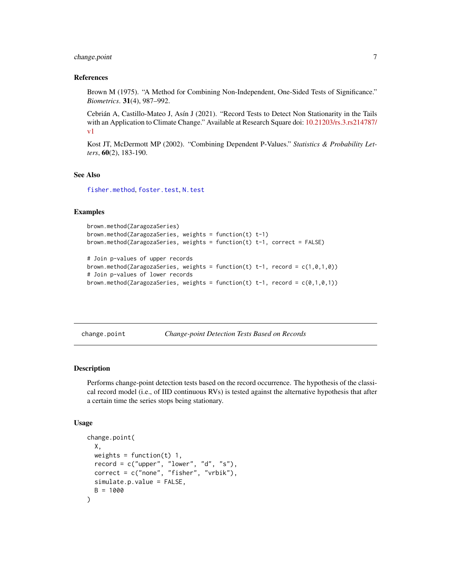# <span id="page-6-0"></span>change.point 7

#### References

Brown M (1975). "A Method for Combining Non-Independent, One-Sided Tests of Significance." *Biometrics*. 31(4), 987–992.

Cebrián A, Castillo-Mateo J, Asín J (2021). "Record Tests to Detect Non Stationarity in the Tails with an Application to Climate Change." Available at Research Square doi: [10.21203/rs.3.rs214787/](https://doi.org/10.21203/rs.3.rs-214787/v1) [v1](https://doi.org/10.21203/rs.3.rs-214787/v1)

Kost JT, McDermott MP (2002). "Combining Dependent P-Values." *Statistics & Probability Letters*, 60(2), 183-190.

#### See Also

[fisher.method](#page-9-1), [foster.test](#page-12-1), [N.test](#page-28-1)

#### Examples

```
brown.method(ZaragozaSeries)
brown.method(ZaragozaSeries, weights = function(t) t-1)
brown.method(ZaragozaSeries, weights = function(t) t-1, correct = FALSE)
# Join p-values of upper records
brown.method(ZaragozaSeries, weights = function(t) t-1, record = c(1,0,1,0))
# Join p-values of lower records
brown.method(ZaragozaSeries, weights = function(t) t-1, record = c(0,1,0,1))
```
<span id="page-6-1"></span>change.point *Change-point Detection Tests Based on Records*

#### Description

Performs change-point detection tests based on the record occurrence. The hypothesis of the classical record model (i.e., of IID continuous RVs) is tested against the alternative hypothesis that after a certain time the series stops being stationary.

#### Usage

```
change.point(
 X,
 weights = function(t) 1,
 record = c("upper", "lower", "d", "s"),
 correct = c("none", "fisher", "vrbik").simulate.p.value = FALSE,
 B = 1000)
```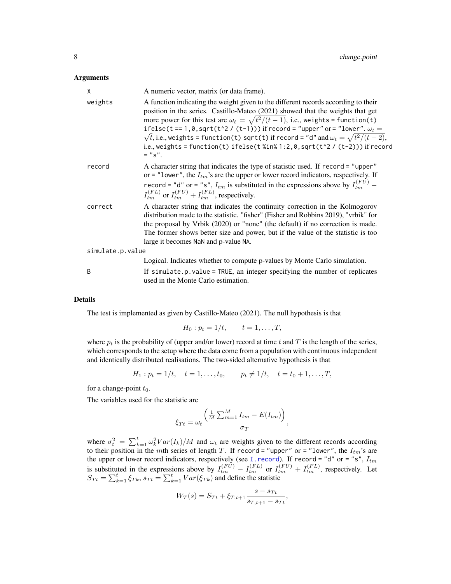#### <span id="page-7-0"></span>Arguments

| Χ                | A numeric vector, matrix (or data frame).                                                                                                                                                                                                                                                                                                                                                                                                                                                                                                                  |
|------------------|------------------------------------------------------------------------------------------------------------------------------------------------------------------------------------------------------------------------------------------------------------------------------------------------------------------------------------------------------------------------------------------------------------------------------------------------------------------------------------------------------------------------------------------------------------|
| weights          | A function indicating the weight given to the different records according to their<br>position in the series. Castillo-Mateo (2021) showed that the weights that get<br>more power for this test are $\omega_t = \sqrt{t^2/(t-1)}$ , i.e., weights = function(t)<br>ifelse(t == 1,0,sqrt(t^2 / (t-1))) if record = "upper" or = "lower". $\omega_t$ =<br>$\sqrt{t}$ , i.e., weights = function(t) sqrt(t) if record = "d" and $\omega_t = \sqrt{t^2/(t-2)}$ ,<br>i.e., weights = function(t) ifelse(t %in% 1:2,0, sqrt(t^2 / (t-2))) if record<br>$=$ "s". |
| record           | A character string that indicates the type of statistic used. If record = "upper"<br>or = "lower", the $I_{tm}$ 's are the upper or lower record indicators, respectively. If<br>record = "d" or = "s", $I_{tm}$ is substituted in the expressions above by $I_{tm}^{(FU)}$ –<br>$I_{tm}^{(FL)}$ or $I_{tm}^{(FU)} + I_{tm}^{(FL)}$ , respectively.                                                                                                                                                                                                        |
| correct          | A character string that indicates the continuity correction in the Kolmogorov<br>distribution made to the statistic. "fisher" (Fisher and Robbins 2019), "vrbik" for<br>the proposal by Vrbik (2020) or "none" (the default) if no correction is made.<br>The former shows better size and power, but if the value of the statistic is too<br>large it becomes NaN and p-value NA.                                                                                                                                                                         |
| simulate.p.value |                                                                                                                                                                                                                                                                                                                                                                                                                                                                                                                                                            |
|                  | Logical. Indicates whether to compute p-values by Monte Carlo simulation.                                                                                                                                                                                                                                                                                                                                                                                                                                                                                  |
| B                | If simulate.p.value = TRUE, an integer specifying the number of replicates<br>used in the Monte Carlo estimation.                                                                                                                                                                                                                                                                                                                                                                                                                                          |

#### Details

The test is implemented as given by Castillo-Mateo (2021). The null hypothesis is that

$$
H_0: p_t = 1/t, \t t = 1, ..., T,
$$

where  $p_t$  is the probability of (upper and/or lower) record at time t and T is the length of the series, which corresponds to the setup where the data come from a population with continuous independent and identically distributed realisations. The two-sided alternative hypothesis is that

$$
H_1: p_t = 1/t, \quad t = 1, \dots, t_0, \qquad p_t \neq 1/t, \quad t = t_0 + 1, \dots, T,
$$

for a change-point  $t_0$ .

The variables used for the statistic are

$$
\xi_{Tt} = \omega_t \frac{\left(\frac{1}{M} \sum_{m=1}^{M} I_{tm} - E(I_{tm})\right)}{\sigma_T},
$$

where  $\sigma_t^2 = \sum_{k=1}^t \omega_k^2 Var(I_k)/M$  and  $\omega_t$  are weights given to the different records according to their position in the mth series of length T. If record = "upper" or = "lower", the  $I_{tm}$ 's are the upper or lower record indicators, respectively (see I. record). If record = "d" or = "s",  $I_{tm}$ is substituted in the expressions above by  $I_{tm}^{(FU)} - I_{tm}^{(FL)}$  or  $I_{tm}^{(FU)} + I_{tm}^{(FL)}$ , respectively. Let  $S_{Tt} = \sum_{k=1}^{t} \xi_{Tk}, s_{Tt} = \sum_{k=1}^{t} Var(\xi_{Tk})$  and define the statistic

$$
W_T(s) = S_{Tt} + \xi_{T,t+1} \frac{s - s_{Tt}}{s_{T,t+1} - s_{Tt}},
$$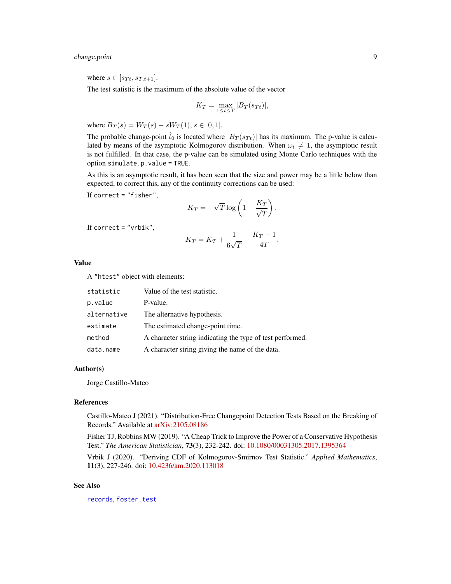# <span id="page-8-0"></span>change.point 9

where  $s \in [s_{Tt}, s_{T,t+1}].$ 

The test statistic is the maximum of the absolute value of the vector

$$
K_T = \max_{1 \le t \le T} |B_T(s_{Tt})|,
$$

where  $B_T(s) = W_T(s) - sW_T(1), s \in [0, 1].$ 

The probable change-point  $\hat{t}_0$  is located where  $|B_T(s_{Tt})|$  has its maximum. The p-value is calculated by means of the asymptotic Kolmogorov distribution. When  $\omega_t \neq 1$ , the asymptotic result is not fulfilled. In that case, the p-value can be simulated using Monte Carlo techniques with the option simulate.p.value = TRUE.

As this is an asymptotic result, it has been seen that the size and power may be a little below than expected, to correct this, any of the continuity corrections can be used:

If correct = "fisher",

$$
K_T = -\sqrt{T}\log\left(1-\frac{K_T}{\sqrt{T}}\right).
$$

If correct =  $"vrbik",$ 

$$
K_T = K_T + \frac{1}{6\sqrt{T}} + \frac{K_T - 1}{4T}.
$$

Value

|  |  |  |  | A "htest" object with elements: |
|--|--|--|--|---------------------------------|
|--|--|--|--|---------------------------------|

| statistic   | Value of the test statistic.                              |
|-------------|-----------------------------------------------------------|
| p.value     | P-value.                                                  |
| alternative | The alternative hypothesis.                               |
| estimate    | The estimated change-point time.                          |
| method      | A character string indicating the type of test performed. |
| data.name   | A character string giving the name of the data.           |

#### Author(s)

Jorge Castillo-Mateo

#### References

Castillo-Mateo J (2021). "Distribution-Free Changepoint Detection Tests Based on the Breaking of Records." Available at [arXiv:2105.08186](https://arxiv.org/abs/2105.08186)

Fisher TJ, Robbins MW (2019). "A Cheap Trick to Improve the Power of a Conservative Hypothesis Test." *The American Statistician*, 73(3), 232-242. doi: [10.1080/00031305.2017.1395364](https://doi.org/10.1080/00031305.2017.1395364)

Vrbik J (2020). "Deriving CDF of Kolmogorov-Smirnov Test Statistic." *Applied Mathematics*, 11(3), 227-246. doi: [10.4236/am.2020.113018](https://doi.org/10.4236/am.2020.113018)

# See Also

[records](#page-43-1), [foster.test](#page-12-1)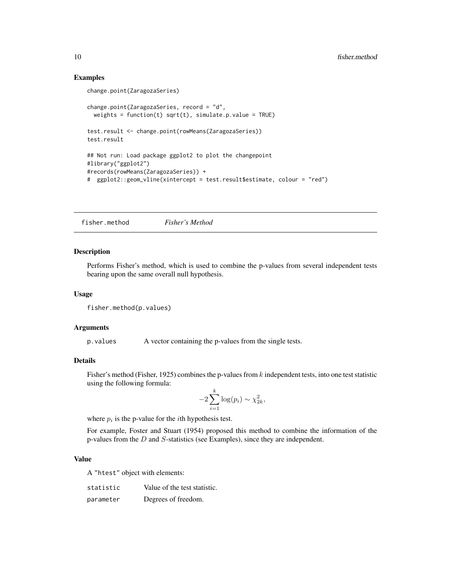# Examples

```
change.point(ZaragozaSeries)
change.point(ZaragozaSeries, record = "d",
 weights = function(t) sqrt(t), simulate.p.value = TRUE)
test.result <- change.point(rowMeans(ZaragozaSeries))
test.result
## Not run: Load package ggplot2 to plot the changepoint
#library("ggplot2")
#records(rowMeans(ZaragozaSeries)) +
# ggplot2::geom_vline(xintercept = test.result$estimate, colour = "red")
```
<span id="page-9-1"></span>fisher.method *Fisher's Method*

#### Description

Performs Fisher's method, which is used to combine the p-values from several independent tests bearing upon the same overall null hypothesis.

#### Usage

```
fisher.method(p.values)
```
#### Arguments

p. values A vector containing the p-values from the single tests.

# Details

Fisher's method (Fisher, 1925) combines the p-values from  $k$  independent tests, into one test statistic using the following formula:

$$
-2\sum_{i=1}^{k}\log(p_i) \sim \chi_{2k}^2,
$$

where  $p_i$  is the p-value for the *i*th hypothesis test.

For example, Foster and Stuart (1954) proposed this method to combine the information of the p-values from the D and S-statistics (see Examples), since they are independent.

#### Value

A "htest" object with elements:

| statistic | Value of the test statistic. |
|-----------|------------------------------|
| parameter | Degrees of freedom.          |

<span id="page-9-0"></span>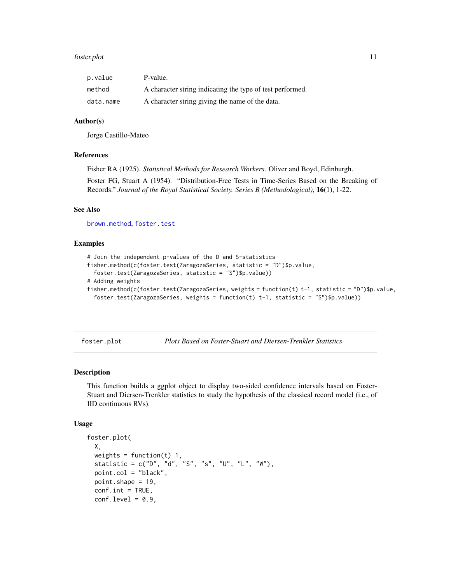#### <span id="page-10-0"></span>foster.plot that the contract of the contract of the contract of the contract of the contract of the contract of the contract of the contract of the contract of the contract of the contract of the contract of the contract

| p.value   | P-value.                                                  |
|-----------|-----------------------------------------------------------|
| method    | A character string indicating the type of test performed. |
| data.name | A character string giving the name of the data.           |

# Author(s)

Jorge Castillo-Mateo

#### References

Fisher RA (1925). *Statistical Methods for Research Workers*. Oliver and Boyd, Edinburgh.

Foster FG, Stuart A (1954). "Distribution-Free Tests in Time-Series Based on the Breaking of Records." *Journal of the Royal Statistical Society. Series B (Methodological)*, 16(1), 1-22.

# See Also

[brown.method](#page-4-1), [foster.test](#page-12-1)

#### Examples

```
# Join the independent p-values of the D and S-statistics
fisher.method(c(foster.test(ZaragozaSeries, statistic = "D")$p.value,
  foster.test(ZaragozaSeries, statistic = "S")$p.value))
# Adding weights
fisher.method(c(foster.test(ZaragozaSeries, weights = function(t) t-1, statistic = "D")$p.value,
  foster.test(ZaragozaSeries, weights = function(t) t-1, statistic = "S")$p.value))
```
<span id="page-10-1"></span>foster.plot *Plots Based on Foster-Stuart and Diersen-Trenkler Statistics*

#### Description

This function builds a ggplot object to display two-sided confidence intervals based on Foster-Stuart and Diersen-Trenkler statistics to study the hypothesis of the classical record model (i.e., of IID continuous RVs).

#### Usage

```
foster.plot(
  X,
 weights = function(t) 1,
  statistic = c("D", "d", "S", "s", "U", "L", "W"),
  point.col = "black",
 point.shape = 19,
  conf.int = TRUE,conf. level = 0.9,
```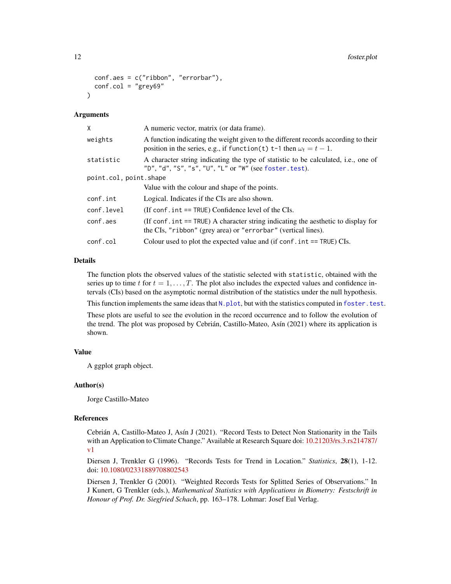```
conf.aes = c("ribbon", "errorbar"),
  conf.col = "grey69")
```
#### Arguments

| Χ                      | A numeric vector, matrix (or data frame).                                                                                                                        |  |  |  |  |
|------------------------|------------------------------------------------------------------------------------------------------------------------------------------------------------------|--|--|--|--|
| weights                | A function indicating the weight given to the different records according to their<br>position in the series, e.g., if function(t) t-1 then $\omega_t = t - 1$ . |  |  |  |  |
| statistic              | A character string indicating the type of statistic to be calculated, i.e., one of<br>"D", "d", "S", "s", "U", "L" or "W" (see foster.test).                     |  |  |  |  |
| point.col, point.shape |                                                                                                                                                                  |  |  |  |  |
|                        | Value with the colour and shape of the points.                                                                                                                   |  |  |  |  |
| conf.int               | Logical. Indicates if the CIs are also shown.                                                                                                                    |  |  |  |  |
| conf.level             | (If conf. $int = TRUE$ ) Confidence level of the CIs.                                                                                                            |  |  |  |  |
| conf.aes               | (If conf. int == TRUE) A character string indicating the aesthetic to display for<br>the CIs, "ribbon" (grey area) or "errorbar" (vertical lines).               |  |  |  |  |
| conf.col               | Colour used to plot the expected value and (if conf. $int = TRUE$ ) CIs.                                                                                         |  |  |  |  |
|                        |                                                                                                                                                                  |  |  |  |  |

#### Details

The function plots the observed values of the statistic selected with statistic, obtained with the series up to time t for  $t = 1, \ldots, T$ . The plot also includes the expected values and confidence intervals (CIs) based on the asymptotic normal distribution of the statistics under the null hypothesis.

This function implements the same ideas that  $N$ . plot, but with the statistics computed in foster. test.

These plots are useful to see the evolution in the record occurrence and to follow the evolution of the trend. The plot was proposed by Cebrián, Castillo-Mateo, Asín (2021) where its application is shown.

#### Value

A ggplot graph object.

#### Author(s)

Jorge Castillo-Mateo

#### References

Cebrián A, Castillo-Mateo J, Asín J (2021). "Record Tests to Detect Non Stationarity in the Tails with an Application to Climate Change." Available at Research Square doi: [10.21203/rs.3.rs214787/](https://doi.org/10.21203/rs.3.rs-214787/v1) [v1](https://doi.org/10.21203/rs.3.rs-214787/v1)

Diersen J, Trenkler G (1996). "Records Tests for Trend in Location." *Statistics*, 28(1), 1-12. doi: [10.1080/02331889708802543](https://doi.org/10.1080/02331889708802543)

Diersen J, Trenkler G (2001). "Weighted Records Tests for Splitted Series of Observations." In J Kunert, G Trenkler (eds.), *Mathematical Statistics with Applications in Biometry: Festschrift in Honour of Prof. Dr. Siegfried Schach*, pp. 163–178. Lohmar: Josef Eul Verlag.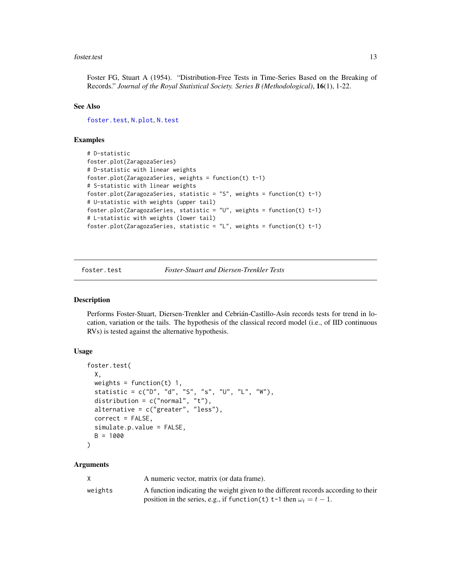#### <span id="page-12-0"></span>foster.test 13

Foster FG, Stuart A (1954). "Distribution-Free Tests in Time-Series Based on the Breaking of Records." *Journal of the Royal Statistical Society. Series B (Methodological)*, 16(1), 1-22.

# See Also

[foster.test](#page-12-1), [N.plot](#page-24-1), [N.test](#page-28-1)

#### Examples

```
# D-statistic
foster.plot(ZaragozaSeries)
# D-statistic with linear weights
foster.plot(ZaragozaSeries, weights = function(t) t-1)
# S-statistic with linear weights
foster.plot(ZaragozaSeries, statistic = "S", weights = function(t) t-1)
# U-statistic with weights (upper tail)
foster.plot(ZaragozaSeries, statistic = "U", weights = function(t) t-1)
# L-statistic with weights (lower tail)
foster.plot(ZaragozaSeries, statistic = "L", weights = function(t) t-1)
```
<span id="page-12-1"></span>

foster.test *Foster-Stuart and Diersen-Trenkler Tests*

# Description

Performs Foster-Stuart, Diersen-Trenkler and Cebrián-Castillo-Asín records tests for trend in location, variation or the tails. The hypothesis of the classical record model (i.e., of IID continuous RVs) is tested against the alternative hypothesis.

#### Usage

```
foster.test(
 X,
 weights = function(t) 1,
  statistic = c("D", "d", "S", "s", "U", "L", "W"),
 distribution = c("normal", "t"),
 alternative = c("greater", "less"),
 correct = FALSE,simulate.p.value = FALSE,
 B = 1000)
```
#### Arguments

|         | A numeric vector, matrix (or data frame).                                          |
|---------|------------------------------------------------------------------------------------|
| weights | A function indicating the weight given to the different records according to their |
|         | position in the series, e.g., if function(t) t-1 then $\omega_t = t - 1$ .         |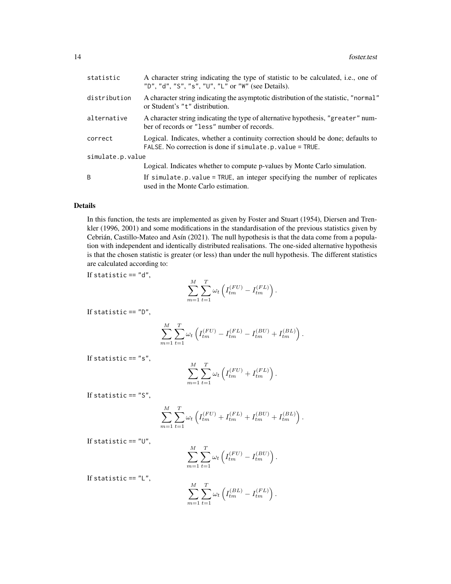| statistic        | A character string indicating the type of statistic to be calculated, i.e., one of<br>"D", "d", "S", "s", "U", "L" or "W" (see Details).     |
|------------------|----------------------------------------------------------------------------------------------------------------------------------------------|
| distribution     | A character string indicating the asymptotic distribution of the statistic, "normal"<br>or Student's "t" distribution.                       |
| alternative      | A character string indicating the type of alternative hypothesis, "greater" num-<br>ber of records or "less" number of records.              |
| correct          | Logical. Indicates, whether a continuity correction should be done; defaults to<br>FALSE. No correction is done if simulate.p. value = TRUE. |
| simulate.p.value |                                                                                                                                              |
|                  | Logical. Indicates whether to compute p-values by Monte Carlo simulation.                                                                    |
| B                | If $simulate.p.value = TRUE$ , an integer specifying the number of replicates<br>used in the Monte Carlo estimation.                         |

# Details

In this function, the tests are implemented as given by Foster and Stuart (1954), Diersen and Trenkler (1996, 2001) and some modifications in the standardisation of the previous statistics given by Cebrián, Castillo-Mateo and Asín (2021). The null hypothesis is that the data come from a population with independent and identically distributed realisations. The one-sided alternative hypothesis is that the chosen statistic is greater (or less) than under the null hypothesis. The different statistics are calculated according to:

If statistic  $== "d",$ 

$$
\sum_{m=1}^{M} \sum_{t=1}^{T} \omega_t \left( I_{tm}^{(FU)} - I_{tm}^{(FL)} \right).
$$

If statistic == "D",

$$
\sum_{m=1}^{M} \sum_{t=1}^{T} \omega_t \left( I_{tm}^{(FU)} - I_{tm}^{(FL)} - I_{tm}^{(BU)} + I_{tm}^{(BL)} \right).
$$

If statistic  $== "s",$ 

$$
\sum_{m=1}^{M} \sum_{t=1}^{T} \omega_t \left( I_{tm}^{(FU)} + I_{tm}^{(FL)} \right).
$$

If statistic  $== "S",$ 

$$
\sum_{m=1}^{M} \sum_{t=1}^{T} \omega_t \left( I_{tm}^{(FU)} + I_{tm}^{(FL)} + I_{tm}^{(BU)} + I_{tm}^{(BL)} \right).
$$

If statistic  $== "U",$ 

$$
\sum_{m=1}^{M} \sum_{t=1}^{T} \omega_t \left( I_{tm}^{(FU)} - I_{tm}^{(BU)} \right).
$$

If statistic  $== "L",$ 

$$
\sum_{m=1}^{M} \sum_{t=1}^{T} \omega_t \left( I_{tm}^{(BL)} - I_{tm}^{(FL)} \right).
$$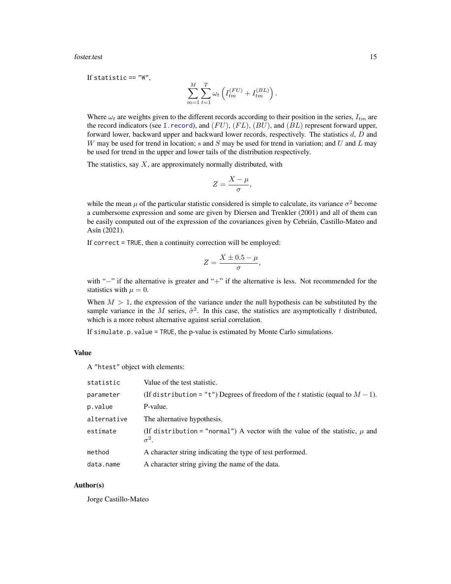<span id="page-14-0"></span>foster.test 15

If statistic  $== "W".$ 

$$
\sum_{m=1}^{M} \sum_{t=1}^{T} \omega_t \left( I_{tm}^{(FU)} + I_{tm}^{(BL)} \right).
$$

Where  $\omega_t$  are weights given to the different records according to their position in the series,  $I_{tm}$  are the record indicators (see [I.record](#page-17-1)), and  $(FU)$ ,  $(FL)$ ,  $(BU)$ , and  $(BL)$  represent forward upper, forward lower, backward upper and backward lower records, respectively. The statistics  $d, D$  and W may be used for trend in location; s and S may be used for trend in variation; and U and L may be used for trend in the upper and lower tails of the distribution respectively.

The statistics, say  $X$ , are approximately normally distributed, with

$$
Z=\frac{X-\mu}{\sigma},
$$

while the mean  $\mu$  of the particular statistic considered is simple to calculate, its variance  $\sigma^2$  become a cumbersome expression and some are given by Diersen and Trenkler (2001) and all of them can be easily computed out of the expression of the covariances given by Cebrián, Castillo-Mateo and Asín (2021).

If correct = TRUE, then a continuity correction will be employed:

$$
Z = \frac{X \pm 0.5 - \mu}{\sigma}
$$

,

with "-" if the alternative is greater and "+" if the alternative is less. Not recommended for the statistics with  $\mu = 0$ .

When  $M > 1$ , the expression of the variance under the null hypothesis can be substituted by the sample variance in the M series,  $\hat{\sigma}^2$ . In this case, the statistics are asymptotically t distributed, which is a more robust alternative against serial correlation.

If simulate.p.value = TRUE, the p-value is estimated by Monte Carlo simulations.

# Value

A "htest" object with elements:

| statistic   | Value of the test statistic.                                                                     |
|-------------|--------------------------------------------------------------------------------------------------|
| parameter   | (If distribution = "t") Degrees of freedom of the t statistic (equal to $M-1$ ).                 |
| p.value     | P-value.                                                                                         |
| alternative | The alternative hypothesis.                                                                      |
| estimate    | (If distribution = "normal") A vector with the value of the statistic, $\mu$ and<br>$\sigma^2$ . |
| method      | A character string indicating the type of test performed.                                        |
| data.name   | A character string giving the name of the data.                                                  |

#### Author(s)

Jorge Castillo-Mateo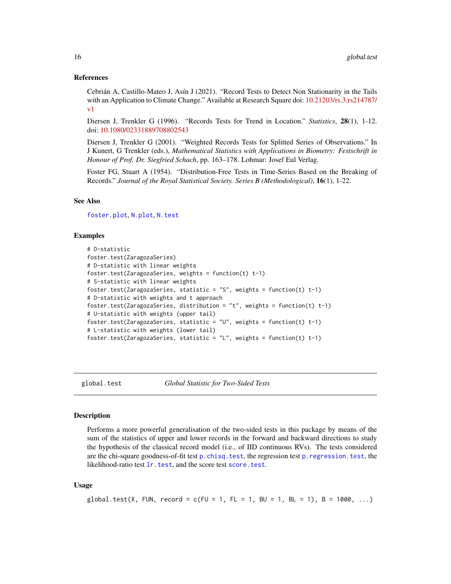#### <span id="page-15-0"></span>References

Cebrián A, Castillo-Mateo J, Asín J (2021). "Record Tests to Detect Non Stationarity in the Tails with an Application to Climate Change." Available at Research Square doi: [10.21203/rs.3.rs214787/](https://doi.org/10.21203/rs.3.rs-214787/v1) [v1](https://doi.org/10.21203/rs.3.rs-214787/v1)

Diersen J, Trenkler G (1996). "Records Tests for Trend in Location." *Statistics*, 28(1), 1-12. doi: [10.1080/02331889708802543](https://doi.org/10.1080/02331889708802543)

Diersen J, Trenkler G (2001). "Weighted Records Tests for Splitted Series of Observations." In J Kunert, G Trenkler (eds.), *Mathematical Statistics with Applications in Biometry: Festschrift in Honour of Prof. Dr. Siegfried Schach*, pp. 163–178. Lohmar: Josef Eul Verlag.

Foster FG, Stuart A (1954). "Distribution-Free Tests in Time-Series Based on the Breaking of Records." *Journal of the Royal Statistical Society. Series B (Methodological)*, 16(1), 1-22.

#### See Also

[foster.plot](#page-10-1), [N.plot](#page-24-1), [N.test](#page-28-1)

# Examples

```
# D-statistic
foster.test(ZaragozaSeries)
# D-statistic with linear weights
foster.test(ZaragozaSeries, weights = function(t) t-1)
# S-statistic with linear weights
foster.test(ZaragozaSeries, statistic = "S", weights = function(t) t-1)
# D-statistic with weights and t approach
foster.test(ZaragozaSeries, distribution = "t", weights = function(t) t-1)
# U-statistic with weights (upper tail)
foster.test(ZaragozaSeries, statistic = "U", weights = function(t) t-1)
# L-statistic with weights (lower tail)
foster.test(ZaragozaSeries, statistic = "L", weights = function(t) t-1)
```
<span id="page-15-1"></span>

global.test *Global Statistic for Two-Sided Tests*

#### **Description**

Performs a more powerful generalisation of the two-sided tests in this package by means of the sum of the statistics of upper and lower records in the forward and backward directions to study the hypothesis of the classical record model (i.e., of IID continuous RVs). The tests considered are the chi-square goodness-of-fit test [p.chisq.test](#page-31-1), the regression test [p.regression.test](#page-37-1), the likelihood-ratio test 1r.test, and the score test [score.test](#page-45-1).

# Usage

```
global.test(X, FUN, record = c(FU = 1, FL = 1, BU = 1, BL = 1), B = 1000, ...)
```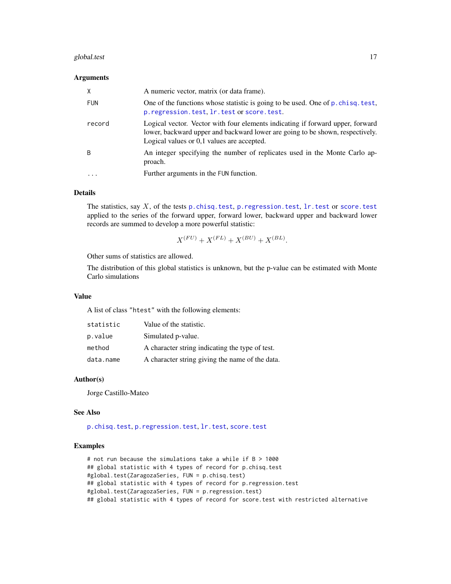#### <span id="page-16-0"></span>global.test 17

# Arguments

| X          | A numeric vector, matrix (or data frame).                                                                                                                                                                     |
|------------|---------------------------------------------------------------------------------------------------------------------------------------------------------------------------------------------------------------|
| <b>FUN</b> | One of the functions whose statistic is going to be used. One of p. chisq. test,<br>p.regression.test, lr.test or score.test.                                                                                 |
| record     | Logical vector. Vector with four elements indicating if forward upper, forward<br>lower, backward upper and backward lower are going to be shown, respectively.<br>Logical values or 0,1 values are accepted. |
| B          | An integer specifying the number of replicates used in the Monte Carlo ap-<br>proach.                                                                                                                         |
| $\ddotsc$  | Further arguments in the FUN function.                                                                                                                                                                        |

# Details

The statistics, say  $X$ , of the tests [p.chisq.test](#page-31-1), [p.regression.test](#page-37-1),  $\text{lr}$ .test or [score.test](#page-45-1) applied to the series of the forward upper, forward lower, backward upper and backward lower records are summed to develop a more powerful statistic:

$$
X^{(FU)} + X^{(FL)} + X^{(BU)} + X^{(BL)}.
$$

Other sums of statistics are allowed.

The distribution of this global statistics is unknown, but the p-value can be estimated with Monte Carlo simulations

#### Value

A list of class "htest" with the following elements:

| statistic | Value of the statistic.                         |
|-----------|-------------------------------------------------|
| p.value   | Simulated p-value.                              |
| method    | A character string indicating the type of test. |
| data.name | A character string giving the name of the data. |

#### Author(s)

Jorge Castillo-Mateo

#### See Also

[p.chisq.test](#page-31-1), [p.regression.test](#page-37-1), [lr.test](#page-21-1), [score.test](#page-45-1)

#### Examples

```
# not run because the simulations take a while if B > 1000
## global statistic with 4 types of record for p.chisq.test
#global.test(ZaragozaSeries, FUN = p.chisq.test)
## global statistic with 4 types of record for p.regression.test
#global.test(ZaragozaSeries, FUN = p.regression.test)
## global statistic with 4 types of record for score.test with restricted alternative
```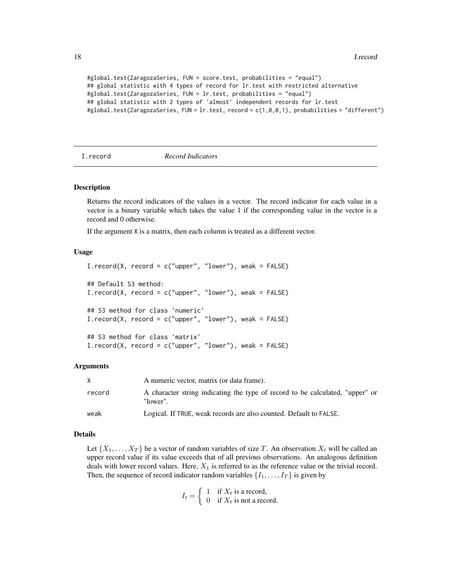```
#global.test(ZaragozaSeries, FUN = score.test, probabilities = "equal")
## global statistic with 4 types of record for lr.test with restricted alternative
#global.test(ZaragozaSeries, FUN = lr.test, probabilities = "equal")
## global statistic with 2 types of 'almost' independent records for lr.test
#global.test(ZaragozaSeries, FUN = lr.test, record = c(1,0,0,1), probabilities = "different")
```

```
I.record Record Indicators
```
#### **Description**

Returns the record indicators of the values in a vector. The record indicator for each value in a vector is a binary variable which takes the value 1 if the corresponding value in the vector is a record and 0 otherwise.

If the argument X is a matrix, then each column is treated as a different vector.

#### Usage

```
I. record(X, record = c("upper", "lower"), weak = FALSE)## Default S3 method:
I. record(X, record = c("upper", "lower"), weak = FALSE)## S3 method for class 'numeric'
I. record(X, record = c("upper", "lower"), weak = FALSE)## S3 method for class 'matrix'
I. record(X, record = c("upper", "lower"), weak = FALSE)
```
#### Arguments

| X      | A numeric vector, matrix (or data frame).                                                 |
|--------|-------------------------------------------------------------------------------------------|
| record | A character string indicating the type of record to be calculated, "upper" or<br>"lower". |
| weak   | Logical. If TRUE, weak records are also counted. Default to FALSE.                        |

# Details

Let  $\{X_1, \ldots, X_T\}$  be a vector of random variables of size T. An observation  $X_t$  will be called an upper record value if its value exceeds that of all previous observations. An analogous definition deals with lower record values. Here,  $X_1$  is referred to as the reference value or the trivial record. Then, the sequence of record indicator random variables  $\{I_1, \ldots, I_T\}$  is given by

> $I_t = \begin{cases} 1 & \text{if } X_t \text{ is a record,} \\ 0 & \text{if } Y \text{ is not a free.} \end{cases}$ 0 if  $X_t$  is not a record.

<span id="page-17-0"></span>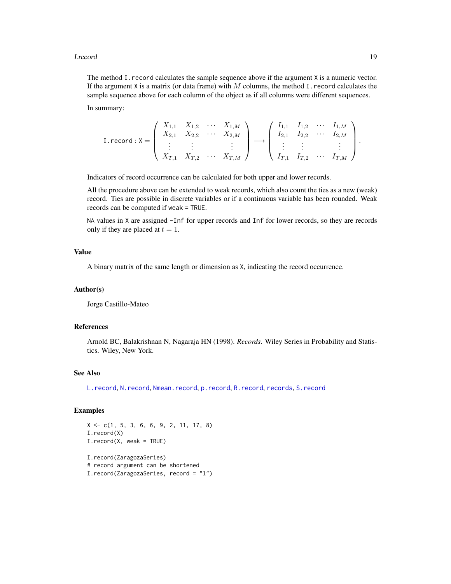#### <span id="page-18-0"></span>**I.record** 19

The method I.record calculates the sample sequence above if the argument X is a numeric vector. If the argument X is a matrix (or data frame) with  $M$  columns, the method I. record calculates the sample sequence above for each column of the object as if all columns were different sequences.

In summary:

$$
\text{I. record}: \mathsf{X} = \left( \begin{array}{cccc} X_{1,1} & X_{1,2} & \cdots & X_{1,M} \\ X_{2,1} & X_{2,2} & \cdots & X_{2,M} \\ \vdots & \vdots & & \vdots \\ X_{T,1} & X_{T,2} & \cdots & X_{T,M} \end{array} \right) \longrightarrow \left( \begin{array}{cccc} I_{1,1} & I_{1,2} & \cdots & I_{1,M} \\ I_{2,1} & I_{2,2} & \cdots & I_{2,M} \\ \vdots & \vdots & & \vdots \\ I_{T,1} & I_{T,2} & \cdots & I_{T,M} \end{array} \right).
$$

Indicators of record occurrence can be calculated for both upper and lower records.

All the procedure above can be extended to weak records, which also count the ties as a new (weak) record. Ties are possible in discrete variables or if a continuous variable has been rounded. Weak records can be computed if weak = TRUE.

NA values in X are assigned -Inf for upper records and Inf for lower records, so they are records only if they are placed at  $t = 1$ .

# Value

A binary matrix of the same length or dimension as X, indicating the record occurrence.

#### Author(s)

Jorge Castillo-Mateo

#### References

Arnold BC, Balakrishnan N, Nagaraja HN (1998). *Records*. Wiley Series in Probability and Statistics. Wiley, New York.

# See Also

[L.record](#page-20-1), [N.record](#page-26-1), [Nmean.record](#page-26-2), [p.record](#page-36-2), [R.record](#page-41-1), [records](#page-43-1), [S.record](#page-36-1)

#### Examples

```
X \leq -c(1, 5, 3, 6, 6, 9, 2, 11, 17, 8)I.record(X)
I.record(X, weak = TRUE)
I.record(ZaragozaSeries)
# record argument can be shortened
I.record(ZaragozaSeries, record = "l")
```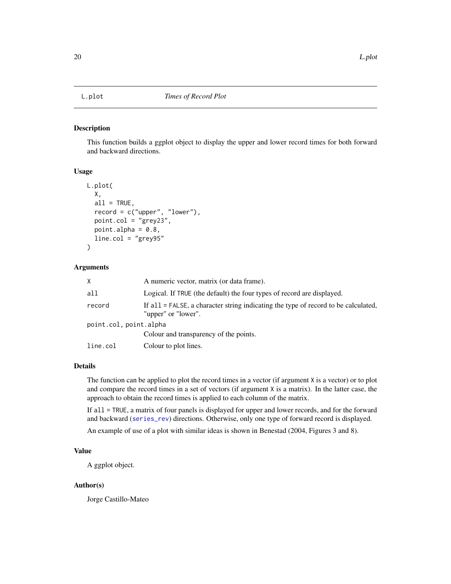<span id="page-19-1"></span><span id="page-19-0"></span>

#### Description

This function builds a ggplot object to display the upper and lower record times for both forward and backward directions.

# Usage

```
L.plot(
 X,
  all = TRUE,record = c("upper", "lower"),
  point.col = "grey23",
  point.alpha = 0.8,
  line.col = "grey95")
```
# Arguments

| X                      | A numeric vector, matrix (or data frame).                                                                    |  |
|------------------------|--------------------------------------------------------------------------------------------------------------|--|
| all                    | Logical. If TRUE (the default) the four types of record are displayed.                                       |  |
| record                 | If $all = FALSE$ , a character string indicating the type of record to be calculated,<br>"upper" or "lower". |  |
| point.col, point.alpha |                                                                                                              |  |
|                        | Colour and transparency of the points.                                                                       |  |
| line.col               | Colour to plot lines.                                                                                        |  |

# Details

The function can be applied to plot the record times in a vector (if argument X is a vector) or to plot and compare the record times in a set of vectors (if argument X is a matrix). In the latter case, the approach to obtain the record times is applied to each column of the matrix.

If all = TRUE, a matrix of four panels is displayed for upper and lower records, and for the forward and backward ([series\\_rev](#page-49-1)) directions. Otherwise, only one type of forward record is displayed.

An example of use of a plot with similar ideas is shown in Benestad (2004, Figures 3 and 8).

# Value

A ggplot object.

#### Author(s)

Jorge Castillo-Mateo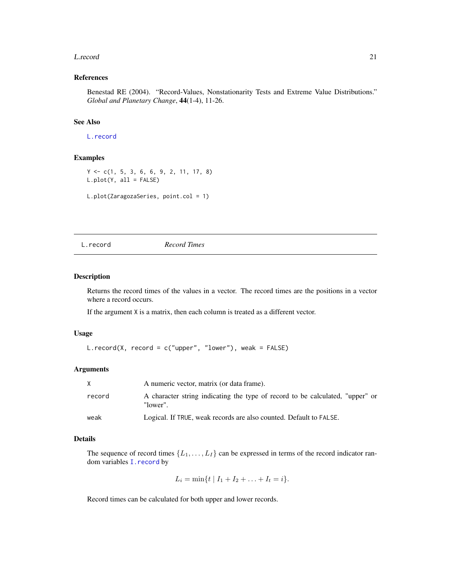#### <span id="page-20-0"></span>L.record 21

# References

Benestad RE (2004). "Record-Values, Nonstationarity Tests and Extreme Value Distributions." *Global and Planetary Change*, 44(1-4), 11-26.

# See Also

[L.record](#page-20-1)

# Examples

```
Y <- c(1, 5, 3, 6, 6, 9, 2, 11, 17, 8)
L.plot(Y, all = FALSE)
L.plot(ZaragozaSeries, point.col = 1)
```
<span id="page-20-1"></span>L.record *Record Times*

### Description

Returns the record times of the values in a vector. The record times are the positions in a vector where a record occurs.

If the argument X is a matrix, then each column is treated as a different vector.

# Usage

```
L.record(X, record = c("upper", "lower"), weak = FALSE)
```
#### Arguments

| X      | A numeric vector, matrix (or data frame).                                                 |
|--------|-------------------------------------------------------------------------------------------|
| record | A character string indicating the type of record to be calculated, "upper" or<br>"lower". |
| weak   | Logical. If TRUE, weak records are also counted. Default to FALSE.                        |

# Details

The sequence of record times  $\{L_1, \ldots, L_I\}$  can be expressed in terms of the record indicator random variables I. record by

 $L_i = \min\{t \mid I_1 + I_2 + \ldots + I_t = i\}.$ 

Record times can be calculated for both upper and lower records.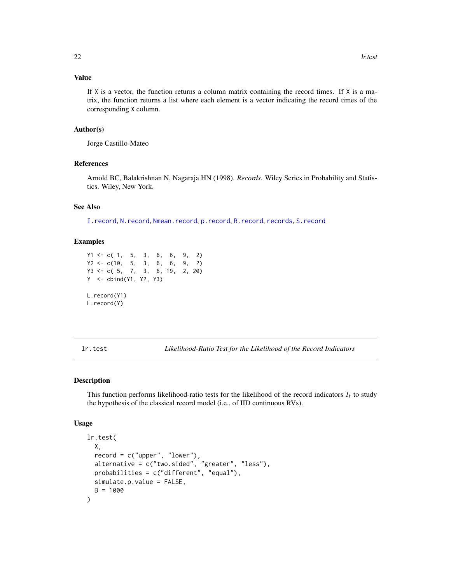# <span id="page-21-0"></span>Value

If  $X$  is a vector, the function returns a column matrix containing the record times. If  $X$  is a matrix, the function returns a list where each element is a vector indicating the record times of the corresponding X column.

# Author(s)

Jorge Castillo-Mateo

# References

Arnold BC, Balakrishnan N, Nagaraja HN (1998). *Records*. Wiley Series in Probability and Statistics. Wiley, New York.

# See Also

[I.record](#page-17-1), [N.record](#page-26-1), [Nmean.record](#page-26-2), [p.record](#page-36-2), [R.record](#page-41-1), [records](#page-43-1), [S.record](#page-36-1)

# Examples

```
Y1 <- c( 1, 5, 3, 6, 6, 9, 2)
Y2 <- c(10, 5, 3, 6, 6, 9, 2)
Y3 <- c( 5, 7, 3, 6, 19, 2, 20)
Y <- cbind(Y1, Y2, Y3)
L.record(Y1)
L.record(Y)
```
<span id="page-21-1"></span>lr.test *Likelihood-Ratio Test for the Likelihood of the Record Indicators*

#### Description

This function performs likelihood-ratio tests for the likelihood of the record indicators  $I_t$  to study the hypothesis of the classical record model (i.e., of IID continuous RVs).

#### Usage

```
lr.test(
 X,
  record = c("upper", "lower"),
 alternative = c("two.sided", "greater", "less"),
 probabilities = c("different", "equal"),
 simulate.p.value = FALSE,
 B = 1000)
```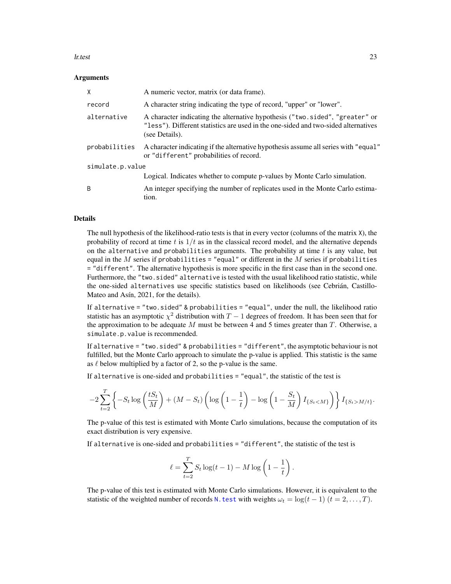#### <span id="page-22-0"></span>lr.test 23

#### Arguments

| X                | A numeric vector, matrix (or data frame).                                                                                                                                            |  |
|------------------|--------------------------------------------------------------------------------------------------------------------------------------------------------------------------------------|--|
| record           | A character string indicating the type of record, "upper" or "lower".                                                                                                                |  |
| alternative      | A character indicating the alternative hypothesis ("two.sided", "greater" or<br>"less"). Different statistics are used in the one-sided and two-sided alternatives<br>(see Details). |  |
| probabilities    | A character indicating if the alternative hypothesis assume all series with "equal"<br>or "different" probabilities of record.                                                       |  |
| simulate.p.value |                                                                                                                                                                                      |  |
|                  | Logical. Indicates whether to compute p-values by Monte Carlo simulation.                                                                                                            |  |
| B                | An integer specifying the number of replicates used in the Monte Carlo estima-<br>tion.                                                                                              |  |

# Details

The null hypothesis of the likelihood-ratio tests is that in every vector (columns of the matrix X), the probability of record at time t is  $1/t$  as in the classical record model, and the alternative depends on the alternative and probabilities arguments. The probability at time  $t$  is any value, but equal in the  $M$  series if probabilities = "equal" or different in the  $M$  series if probabilities = "different". The alternative hypothesis is more specific in the first case than in the second one. Furthermore, the "two.sided" alternative is tested with the usual likelihood ratio statistic, while the one-sided alternatives use specific statistics based on likelihoods (see Cebrián, Castillo-Mateo and Asín, 2021, for the details).

If alternative = "two.sided" & probabilities = "equal", under the null, the likelihood ratio statistic has an asymptotic  $\chi^2$  distribution with  $T-1$  degrees of freedom. It has been seen that for the approximation to be adequate  $M$  must be between 4 and 5 times greater than  $T$ . Otherwise, a simulate.p.value is recommended.

If alternative = "two.sided" & probabilities = "different", the asymptotic behaviour is not fulfilled, but the Monte Carlo approach to simulate the p-value is applied. This statistic is the same as  $\ell$  below multiplied by a factor of 2, so the p-value is the same.

If alternative is one-sided and probabilities = "equal", the statistic of the test is

$$
-2\sum_{t=2}^T \left\{-S_t \log\left(\frac{tS_t}{M}\right)+(M-S_t)\left(\log\left(1-\frac{1}{t}\right)-\log\left(1-\frac{S_t}{M}\right)I_{\{S_tM/t\}}.
$$

The p-value of this test is estimated with Monte Carlo simulations, because the computation of its exact distribution is very expensive.

If alternative is one-sided and probabilities = "different", the statistic of the test is

$$
\ell = \sum_{t=2}^{T} S_t \log(t-1) - M \log\left(1 - \frac{1}{t}\right).
$$

The p-value of this test is estimated with Monte Carlo simulations. However, it is equivalent to the statistic of the weighted number of records N. test with weights  $\omega_t = \log(t-1)$   $(t = 2, \dots, T)$ .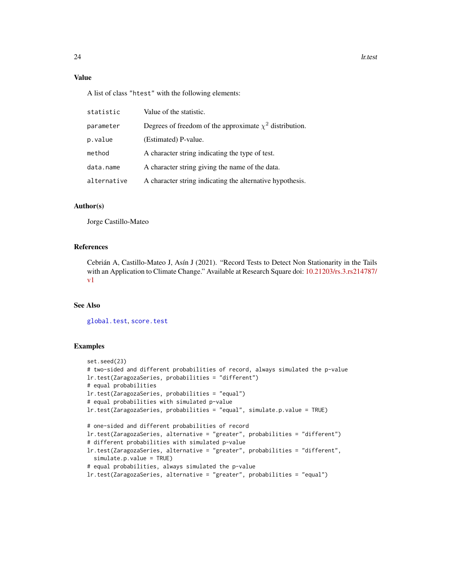# Value

A list of class "htest" with the following elements:

| statistic   | Value of the statistic.                                      |
|-------------|--------------------------------------------------------------|
| parameter   | Degrees of freedom of the approximate $\chi^2$ distribution. |
| p.value     | (Estimated) P-value.                                         |
| method      | A character string indicating the type of test.              |
| data.name   | A character string giving the name of the data.              |
| alternative | A character string indicating the alternative hypothesis.    |

#### Author(s)

Jorge Castillo-Mateo

#### References

Cebrián A, Castillo-Mateo J, Asín J (2021). "Record Tests to Detect Non Stationarity in the Tails with an Application to Climate Change." Available at Research Square doi: [10.21203/rs.3.rs214787/](https://doi.org/10.21203/rs.3.rs-214787/v1) [v1](https://doi.org/10.21203/rs.3.rs-214787/v1)

#### See Also

[global.test](#page-15-1), [score.test](#page-45-1)

#### Examples

```
set.seed(23)
# two-sided and different probabilities of record, always simulated the p-value
lr.test(ZaragozaSeries, probabilities = "different")
# equal probabilities
lr.test(ZaragozaSeries, probabilities = "equal")
# equal probabilities with simulated p-value
lr.test(ZaragozaSeries, probabilities = "equal", simulate.p.value = TRUE)
# one-sided and different probabilities of record
lr.test(ZaragozaSeries, alternative = "greater", probabilities = "different")
# different probabilities with simulated p-value
lr.test(ZaragozaSeries, alternative = "greater", probabilities = "different",
  simulate.p.value = TRUE)
# equal probabilities, always simulated the p-value
lr.test(ZaragozaSeries, alternative = "greater", probabilities = "equal")
```
<span id="page-23-0"></span>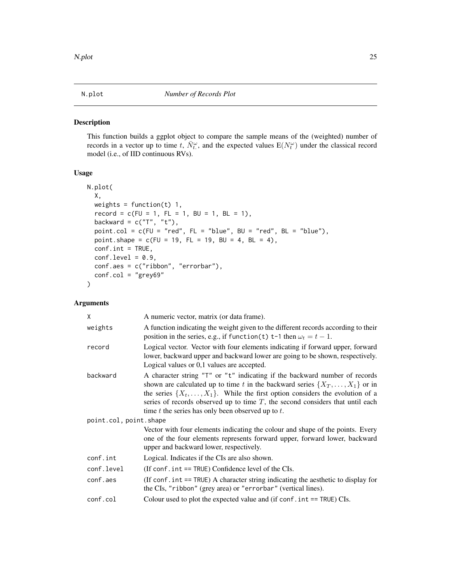# <span id="page-24-1"></span><span id="page-24-0"></span>Description

This function builds a ggplot object to compare the sample means of the (weighted) number of records in a vector up to time t,  $\bar{N}_{t}^{\omega}$ , and the expected values  $E(N_t^{\omega})$  under the classical record model (i.e., of IID continuous RVs).

# Usage

```
N.plot(
 X,
 weights = function(t) 1,
  record = c(FU = 1, FL = 1, BU = 1, BL = 1),backward = c("T", "t"),point.col = c(FU = "red", FL = "blue", BU = "red", BL = "blue"),
 point.shape = c(FU = 19, FL = 19, BU = 4, BL = 4),
 conf.int = TRUE,conf.level = 0.9,conf.aes = c("ribbon", "errorbar"),
  conf.col = "grey69")
```
# Arguments

| X                      | A numeric vector, matrix (or data frame).                                                                                                                                                                                                                                                                                                                                                                    |  |
|------------------------|--------------------------------------------------------------------------------------------------------------------------------------------------------------------------------------------------------------------------------------------------------------------------------------------------------------------------------------------------------------------------------------------------------------|--|
| weights                | A function indicating the weight given to the different records according to their<br>position in the series, e.g., if function(t) t-1 then $\omega_t = t - 1$ .                                                                                                                                                                                                                                             |  |
| record                 | Logical vector. Vector with four elements indicating if forward upper, forward<br>lower, backward upper and backward lower are going to be shown, respectively.<br>Logical values or 0,1 values are accepted.                                                                                                                                                                                                |  |
| backward               | A character string "T" or "t" indicating if the backward number of records<br>shown are calculated up to time t in the backward series $\{X_T, \ldots, X_1\}$ or in<br>the series $\{X_t, \ldots, X_1\}$ . While the first option considers the evolution of a<br>series of records observed up to time $T$ , the second considers that until each<br>time $t$ the series has only been observed up to $t$ . |  |
| point.col, point.shape |                                                                                                                                                                                                                                                                                                                                                                                                              |  |
|                        | Vector with four elements indicating the colour and shape of the points. Every<br>one of the four elements represents forward upper, forward lower, backward<br>upper and backward lower, respectively.                                                                                                                                                                                                      |  |
| conf.int               | Logical. Indicates if the CIs are also shown.                                                                                                                                                                                                                                                                                                                                                                |  |
| conf.level             | (If conf.int == TRUE) Confidence level of the CIs.                                                                                                                                                                                                                                                                                                                                                           |  |
| conf.aes               | (If conf. $int = TRUE$ ) A character string indicating the aesthetic to display for<br>the CIs, "ribbon" (grey area) or "errorbar" (vertical lines).                                                                                                                                                                                                                                                         |  |
| conf.col               | Colour used to plot the expected value and (if $conf$ . int == TRUE) $CIs$ .                                                                                                                                                                                                                                                                                                                                 |  |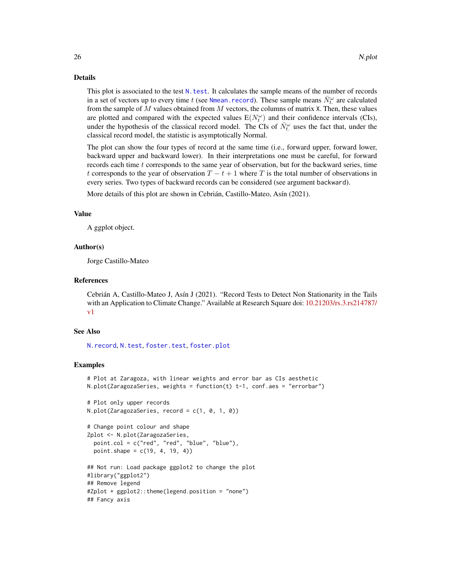#### Details

This plot is associated to the test N. test. It calculates the sample means of the number of records in a set of vectors up to every time t (see [Nmean.record](#page-26-2)). These sample means  $\bar{N}_{t}^{\omega}$  are calculated from the sample of  $M$  values obtained from  $M$  vectors, the columns of matrix  $X$ . Then, these values are plotted and compared with the expected values  $E(N_t^{\omega})$  and their confidence intervals (CIs), under the hypothesis of the classical record model. The CIs of  $\bar{N}_t^{\omega}$  uses the fact that, under the classical record model, the statistic is asymptotically Normal.

The plot can show the four types of record at the same time (i.e., forward upper, forward lower, backward upper and backward lower). In their interpretations one must be careful, for forward records each time  $t$  corresponds to the same year of observation, but for the backward series, time t corresponds to the year of observation  $T - t + 1$  where T is the total number of observations in every series. Two types of backward records can be considered (see argument backward).

More details of this plot are shown in Cebrián, Castillo-Mateo, Asín (2021).

#### Value

A ggplot object.

# Author(s)

Jorge Castillo-Mateo

#### References

Cebrián A, Castillo-Mateo J, Asín J (2021). "Record Tests to Detect Non Stationarity in the Tails with an Application to Climate Change." Available at Research Square doi: [10.21203/rs.3.rs214787/](https://doi.org/10.21203/rs.3.rs-214787/v1) [v1](https://doi.org/10.21203/rs.3.rs-214787/v1)

#### See Also

[N.record](#page-26-1), [N.test](#page-28-1), [foster.test](#page-12-1), [foster.plot](#page-10-1)

#### Examples

```
# Plot at Zaragoza, with linear weights and error bar as CIs aesthetic
N.plot(ZaragozaSeries, weights = function(t) t-1, conf.aes = "errorbar")# Plot only upper records
N.plot(ZaragozaSeries, record = c(1, 0, 1, 0))
# Change point colour and shape
Zplot <- N.plot(ZaragozaSeries,
 point.col = c("red", "red", "blue", "blue"),
 point.shape = c(19, 4, 19, 4))
## Not run: Load package ggplot2 to change the plot
#library("ggplot2")
## Remove legend
#Zplot + ggplot2::theme(legend.position = "none")
## Fancy axis
```
<span id="page-25-0"></span>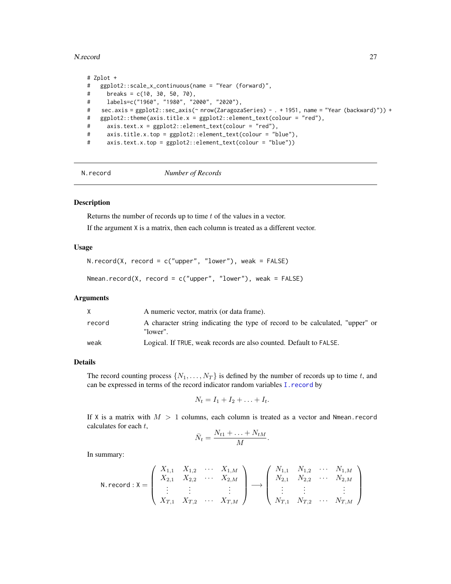#### <span id="page-26-0"></span>N.record 27

```
# Zplot +
# ggplot2::scale_x_continuous(name = "Year (forward)",
# breaks = c(10, 30, 50, 70),
# labels=c("1960", "1980", "2000", "2020"),
# sec.axis = ggplot2::sec_axis(~ nrow(ZaragozaSeries) - . + 1951, name = "Year (backward)")) +
# ggplot2::theme(axis.title.x = ggplot2::element_text(colour = "red"),
# axis.text.x = ggplot2::element_text(colour = "red"),
# axis.title.x.top = ggplot2::element_text(colour = "blue"),
# axis.text.x.top = ggplot2::element_text(colour = "blue"))
```
N.record *Number of Records*

# <span id="page-26-2"></span>Description

Returns the number of records up to time  $t$  of the values in a vector.

If the argument X is a matrix, then each column is treated as a different vector.

# Usage

```
N.record(X, record = c("upper", "lower"), weak = FALSE)
```

```
Nmean.record(X, record = c("upper", "lower"), weak = FALSE)
```
#### Arguments

|        | A numeric vector, matrix (or data frame).                                                 |
|--------|-------------------------------------------------------------------------------------------|
| record | A character string indicating the type of record to be calculated, "upper" or<br>"lower". |
| weak   | Logical. If TRUE, weak records are also counted. Default to FALSE.                        |

#### Details

The record counting process  $\{N_1, \ldots, N_T\}$  is defined by the number of records up to time t, and can be expressed in terms of the record indicator random variables [I.record](#page-17-1) by

$$
N_t = I_1 + I_2 + \ldots + I_t.
$$

If X is a matrix with  $M > 1$  columns, each column is treated as a vector and Nmean. record calculates for each t,

$$
\bar{N}_t = \frac{N_{t1} + \ldots + N_{tM}}{M}.
$$

In summary:

N. record: 
$$
X = \begin{pmatrix} X_{1,1} & X_{1,2} & \cdots & X_{1,M} \\ X_{2,1} & X_{2,2} & \cdots & X_{2,M} \\ \vdots & \vdots & & \vdots \\ X_{T,1} & X_{T,2} & \cdots & X_{T,M} \end{pmatrix} \longrightarrow \begin{pmatrix} N_{1,1} & N_{1,2} & \cdots & N_{1,M} \\ N_{2,1} & N_{2,2} & \cdots & N_{2,M} \\ \vdots & \vdots & & \vdots \\ N_{T,1} & N_{T,2} & \cdots & N_{T,M} \end{pmatrix}
$$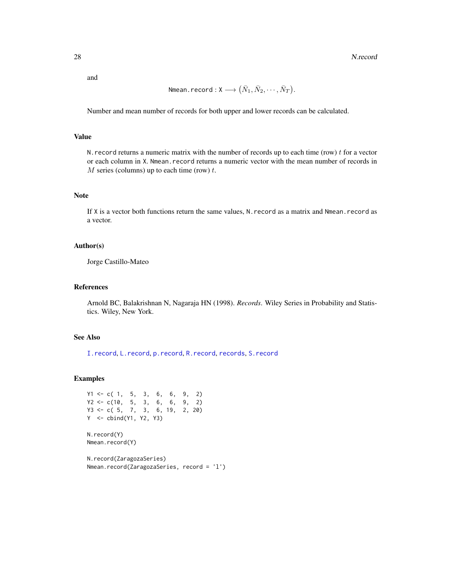<span id="page-27-0"></span>and

$$
\textsf{Nmean}.\, \textsf{record}: \textsf{X} \longrightarrow \big(\bar{N}_1, \bar{N}_2, \cdots, \bar{N}_T\big).
$$

Number and mean number of records for both upper and lower records can be calculated.

#### Value

N. record returns a numeric matrix with the number of records up to each time (row)  $t$  for a vector or each column in X. Nmean. record returns a numeric vector with the mean number of records in  $M$  series (columns) up to each time (row)  $t$ .

# Note

If X is a vector both functions return the same values, N.record as a matrix and Nmean.record as a vector.

#### Author(s)

Jorge Castillo-Mateo

# References

Arnold BC, Balakrishnan N, Nagaraja HN (1998). *Records*. Wiley Series in Probability and Statistics. Wiley, New York.

# See Also

[I.record](#page-17-1), [L.record](#page-20-1), [p.record](#page-36-2), [R.record](#page-41-1), [records](#page-43-1), [S.record](#page-36-1)

#### Examples

```
Y1 \leq -c(1, 5, 3, 6, 6, 9, 2)Y2 \leq -c(10, 5, 3, 6, 6, 9, 2)Y3 <- c( 5, 7, 3, 6, 19, 2, 20)
Y <- cbind(Y1, Y2, Y3)
```
N.record(Y) Nmean.record(Y)

```
N.record(ZaragozaSeries)
Nmean.record(ZaragozaSeries, record = 'l')
```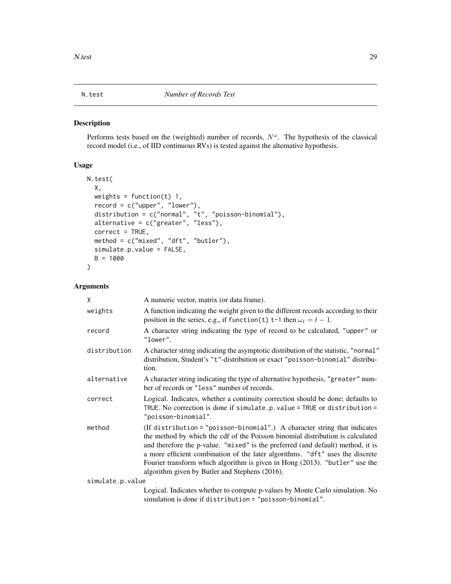### <span id="page-28-1"></span><span id="page-28-0"></span>Description

Performs tests based on the (weighted) number of records,  $N^{\omega}$ . The hypothesis of the classical record model (i.e., of IID continuous RVs) is tested against the alternative hypothesis.

#### Usage

```
N.test(
 X,
 weights = function(t) 1,
 record = c("upper", "lower"),
  distribution = c("normal", "t", "poisson-binomial"),
  alternative = c("greater", "less"),
 correct = TRUE,
 method = c("mixed", "dft", "butler"),
 simulate.p.value = FALSE,
 B = 1000)
```
# Arguments

| X                | A numeric vector, matrix (or data frame).                                                                                                                                                                                                                                                                                                                                                                                                                        |
|------------------|------------------------------------------------------------------------------------------------------------------------------------------------------------------------------------------------------------------------------------------------------------------------------------------------------------------------------------------------------------------------------------------------------------------------------------------------------------------|
| weights          | A function indicating the weight given to the different records according to their<br>position in the series, e.g., if function(t) t-1 then $\omega_t = t - 1$ .                                                                                                                                                                                                                                                                                                 |
| record           | A character string indicating the type of record to be calculated, "upper" or<br>"lower".                                                                                                                                                                                                                                                                                                                                                                        |
| distribution     | A character string indicating the asymptotic distribution of the statistic, "normal"<br>distribution, Student's "t"-distribution or exact "poisson-binomial" distribu-<br>tion.                                                                                                                                                                                                                                                                                  |
| alternative      | A character string indicating the type of alternative hypothesis, "greater" num-<br>ber of records or "less" number of records.                                                                                                                                                                                                                                                                                                                                  |
| correct          | Logical. Indicates, whether a continuity correction should be done; defaults to<br>TRUE. No correction is done if simulate.p. value = TRUE or distribution =<br>"poisson-binomial".                                                                                                                                                                                                                                                                              |
| method           | (If distribution = "poisson-binomial".) A character string that indicates<br>the method by which the cdf of the Poisson binomial distribution is calculated<br>and therefore the p-value. "mixed" is the preferred (and default) method, it is<br>a more efficient combination of the later algorithms. "dft" uses the discrete<br>Fourier transform which algorithm is given in Hong (2013). "butler" use the<br>algorithm given by Butler and Stephens (2016). |
| simulate.p.value |                                                                                                                                                                                                                                                                                                                                                                                                                                                                  |
|                  | Logical. Indicates whether to compute p-values by Monte Carlo simulation. No<br>simulation is done if distribution = "poisson-binomial".                                                                                                                                                                                                                                                                                                                         |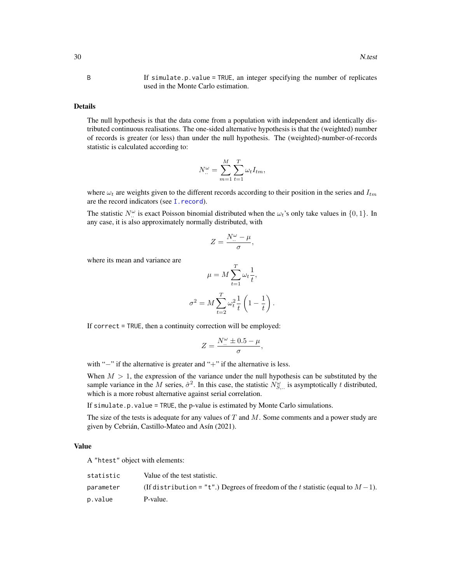<span id="page-29-0"></span>B If simulate.p.value = TRUE, an integer specifying the number of replicates used in the Monte Carlo estimation.

#### Details

The null hypothesis is that the data come from a population with independent and identically distributed continuous realisations. The one-sided alternative hypothesis is that the (weighted) number of records is greater (or less) than under the null hypothesis. The (weighted)-number-of-records statistic is calculated according to:

$$
N_{\cdot\cdot}^{\omega} = \sum_{m=1}^{M} \sum_{t=1}^{T} \omega_t I_{tm},
$$

where  $\omega_t$  are weights given to the different records according to their position in the series and  $I_{tm}$ are the record indicators (see [I.record](#page-17-1)).

The statistic  $N_{\mu}^{\omega}$  is exact Poisson binomial distributed when the  $\omega_t$ 's only take values in  $\{0, 1\}$ . In any case, it is also approximately normally distributed, with

$$
Z = \frac{N_{\cdot\cdot}^{\omega} - \mu}{\sigma},
$$

where its mean and variance are

$$
\mu = M \sum_{t=1}^{T} \omega_t \frac{1}{t},
$$

$$
\sigma^2 = M \sum_{t=2}^{T} \omega_t^2 \frac{1}{t} \left( 1 - \frac{1}{t} \right).
$$

If correct = TRUE, then a continuity correction will be employed:

$$
Z = \frac{N_{\cdot\cdot}^{\omega} \pm 0.5 - \mu}{\sigma},
$$

with "−" if the alternative is greater and "+" if the alternative is less.

When  $M > 1$ , the expression of the variance under the null hypothesis can be substituted by the sample variance in the M series,  $\hat{\sigma}^2$ . In this case, the statistic  $N_{S,..}^{\omega}$  is asymptotically t distributed, which is a more robust alternative against serial correlation.

If simulate.p.value = TRUE, the p-value is estimated by Monte Carlo simulations.

The size of the tests is adequate for any values of  $T$  and  $M$ . Some comments and a power study are given by Cebrián, Castillo-Mateo and Asín (2021).

#### Value

A "htest" object with elements:

| statistic | Value of the test statistic.                                                      |
|-----------|-----------------------------------------------------------------------------------|
| parameter | (If distribution = "t".) Degrees of freedom of the t statistic (equal to $M-1$ ). |
| p.value   | P-value.                                                                          |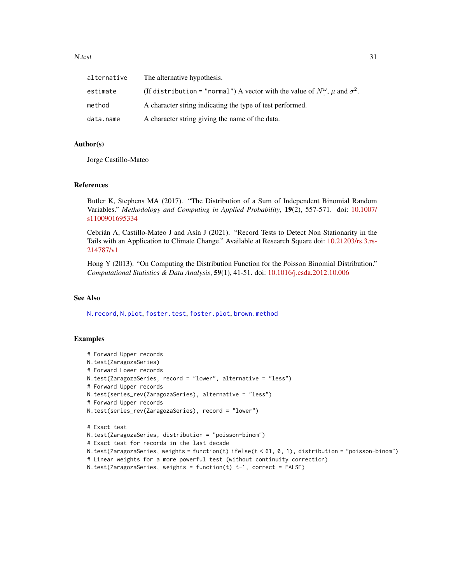#### <span id="page-30-0"></span>N.test 31

| alternative | The alternative hypothesis.                                                                   |
|-------------|-----------------------------------------------------------------------------------------------|
| estimate    | (If distribution = "normal") A vector with the value of $N^{\omega}$ , $\mu$ and $\sigma^2$ . |
| method      | A character string indicating the type of test performed.                                     |
| data.name   | A character string giving the name of the data.                                               |

# Author(s)

Jorge Castillo-Mateo

#### References

Butler K, Stephens MA (2017). "The Distribution of a Sum of Independent Binomial Random Variables." *Methodology and Computing in Applied Probability*, 19(2), 557-571. doi: [10.1007/](https://doi.org/10.1007/s11009-016-9533-4) [s1100901695334](https://doi.org/10.1007/s11009-016-9533-4)

Cebrián A, Castillo-Mateo J and Asín J (2021). "Record Tests to Detect Non Stationarity in the Tails with an Application to Climate Change." Available at Research Square doi: [10.21203/rs.3.rs-](https://doi.org/10.21203/rs.3.rs-214787/v1)[214787/v1](https://doi.org/10.21203/rs.3.rs-214787/v1)

Hong Y (2013). "On Computing the Distribution Function for the Poisson Binomial Distribution." *Computational Statistics & Data Analysis*, 59(1), 41-51. doi: [10.1016/j.csda.2012.10.006](https://doi.org/10.1016/j.csda.2012.10.006)

#### See Also

[N.record](#page-26-1), [N.plot](#page-24-1), [foster.test](#page-12-1), [foster.plot](#page-10-1), [brown.method](#page-4-1)

#### Examples

```
# Forward Upper records
N.test(ZaragozaSeries)
# Forward Lower records
N.test(ZaragozaSeries, record = "lower", alternative = "less")
# Forward Upper records
N.test(series_rev(ZaragozaSeries), alternative = "less")
# Forward Upper records
N.test(series_rev(ZaragozaSeries), record = "lower")
# Exact test
N.test(ZaragozaSeries, distribution = "poisson-binom")
# Exact test for records in the last decade
N.test(ZaragozaSeries, weights = function(t) ifelse(t < 61, 0, 1), distribution = "poisson-binom")
# Linear weights for a more powerful test (without continuity correction)
N.test(ZaragozaSeries, weights = function(t) t-1, correct = FALSE)
```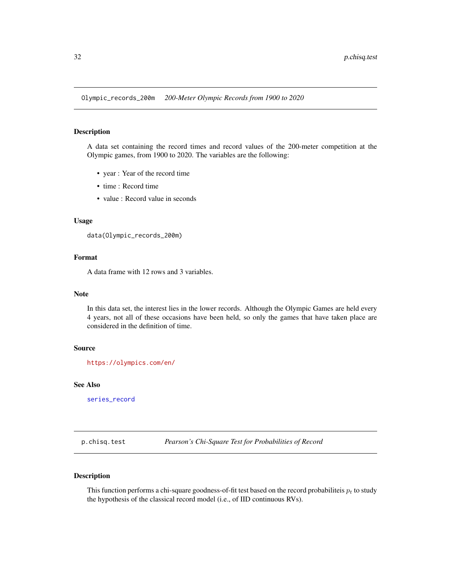<span id="page-31-2"></span><span id="page-31-0"></span>Olympic\_records\_200m *200-Meter Olympic Records from 1900 to 2020*

#### Description

A data set containing the record times and record values of the 200-meter competition at the Olympic games, from 1900 to 2020. The variables are the following:

- year : Year of the record time
- time : Record time
- value : Record value in seconds

#### Usage

data(Olympic\_records\_200m)

# Format

A data frame with 12 rows and 3 variables.

#### Note

In this data set, the interest lies in the lower records. Although the Olympic Games are held every 4 years, not all of these occasions have been held, so only the games that have taken place are considered in the definition of time.

#### Source

<https://olympics.com/en/>

# See Also

[series\\_record](#page-48-1)

<span id="page-31-1"></span>p.chisq.test *Pearson's Chi-Square Test for Probabilities of Record*

# Description

This function performs a chi-square goodness-of-fit test based on the record probabiliteis  $p_t$  to study the hypothesis of the classical record model (i.e., of IID continuous RVs).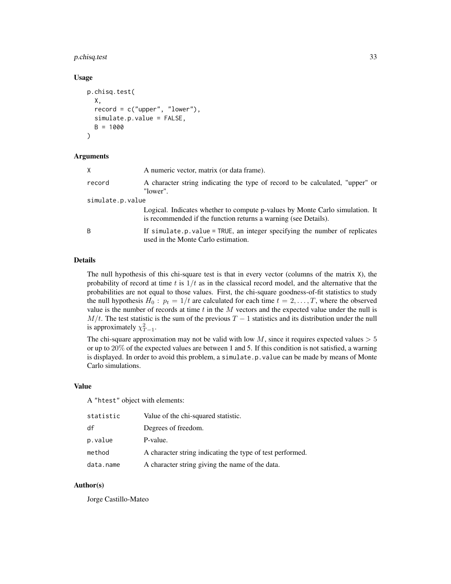# p.chisq.test 33

#### Usage

```
p.chisq.test(
 X,
  record = c("upper", "lower"),
  simulate.p.value = FALSE,
 B = 1000)
```
#### Arguments

| X.               | A numeric vector, matrix (or data frame).                                                                                                       |  |
|------------------|-------------------------------------------------------------------------------------------------------------------------------------------------|--|
| record           | A character string indicating the type of record to be calculated, "upper" or<br>"lower".                                                       |  |
| simulate.p.value |                                                                                                                                                 |  |
|                  | Logical. Indicates whether to compute p-values by Monte Carlo simulation. It<br>is recommended if the function returns a warning (see Details). |  |
| B                | If simulate.p.value = TRUE, an integer specifying the number of replicates<br>used in the Monte Carlo estimation.                               |  |

# Details

The null hypothesis of this chi-square test is that in every vector (columns of the matrix  $X$ ), the probability of record at time t is  $1/t$  as in the classical record model, and the alternative that the probabilities are not equal to those values. First, the chi-square goodness-of-fit statistics to study the null hypothesis  $H_0$ :  $p_t = 1/t$  are calculated for each time  $t = 2, \ldots, T$ , where the observed value is the number of records at time  $t$  in the  $M$  vectors and the expected value under the null is  $M/t$ . The test statistic is the sum of the previous  $T - 1$  statistics and its distribution under the null is approximately  $\chi^2_{T-1}$ .

The chi-square approximation may not be valid with low  $M$ , since it requires expected values  $> 5$ or up to 20% of the expected values are between 1 and 5. If this condition is not satisfied, a warning is displayed. In order to avoid this problem, a simulate.p.value can be made by means of Monte Carlo simulations.

# Value

A "htest" object with elements:

| statistic | Value of the chi-squared statistic.                       |
|-----------|-----------------------------------------------------------|
| df        | Degrees of freedom.                                       |
| p.value   | P-value.                                                  |
| method    | A character string indicating the type of test performed. |
| data.name | A character string giving the name of the data.           |

# Author(s)

Jorge Castillo-Mateo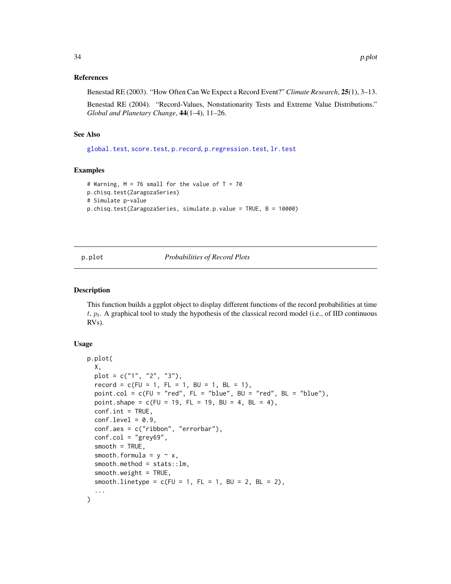#### <span id="page-33-0"></span>References

Benestad RE (2003). "How Often Can We Expect a Record Event?" *Climate Research*, 25(1), 3–13.

Benestad RE (2004). "Record-Values, Nonstationarity Tests and Extreme Value Distributions." *Global and Planetary Change*, 44(1–4), 11–26.

#### See Also

[global.test](#page-15-1), [score.test](#page-45-1), [p.record](#page-36-2), [p.regression.test](#page-37-1), [lr.test](#page-21-1)

#### Examples

```
# Warning, M = 76 small for the value of T = 70p.chisq.test(ZaragozaSeries)
# Simulate p-value
p.chisq.test(ZaragozaSeries, simulate.p.value = TRUE, B = 10000)
```
<span id="page-33-1"></span>

p.plot *Probabilities of Record Plots*

#### Description

This function builds a ggplot object to display different functions of the record probabilities at time t,  $p_t$ . A graphical tool to study the hypothesis of the classical record model (i.e., of IID continuous RVs).

#### Usage

```
p.plot(
  X,
  plot = c("1", "2", "3"),
  record = c(FU = 1, FL = 1, BU = 1, BL = 1),point.col = c(FU = "red", FL = "blue", BU = "red", BL = "blue"),
  point.shape = c(FU = 19, FL = 19, BU = 4, BL = 4),
  conf.int = TRUE,conf. level = 0.9,
  conf.aes = c("ribbon", "errorbar"),
  conf.col = "grey69",smooth = TRUE,smooth.formula = y \sim x,
  smooth.method = stats::lm,
  smooth.weight = TRUE,
  smooth.linetype = c(FU = 1, FL = 1, BU = 2, BL = 2),
  ...
)
```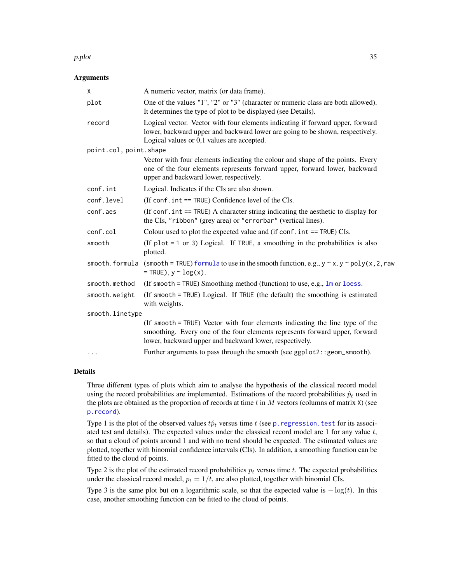#### <span id="page-34-0"></span>p.plot 35

#### Arguments

| X                      | A numeric vector, matrix (or data frame).                                                                                                                                                                              |
|------------------------|------------------------------------------------------------------------------------------------------------------------------------------------------------------------------------------------------------------------|
| plot                   | One of the values "1", "2" or "3" (character or numeric class are both allowed).<br>It determines the type of plot to be displayed (see Details).                                                                      |
| record                 | Logical vector. Vector with four elements indicating if forward upper, forward<br>lower, backward upper and backward lower are going to be shown, respectively.<br>Logical values or 0,1 values are accepted.          |
| point.col, point.shape |                                                                                                                                                                                                                        |
|                        | Vector with four elements indicating the colour and shape of the points. Every<br>one of the four elements represents forward upper, forward lower, backward<br>upper and backward lower, respectively.                |
| conf.int               | Logical. Indicates if the CIs are also shown.                                                                                                                                                                          |
| conf.level             | (If conf. int == TRUE) Confidence level of the CIs.                                                                                                                                                                    |
| conf.aes               | (If conf. $int = TRUE$ ) A character string indicating the aesthetic to display for<br>the CIs, "ribbon" (grey area) or "errorbar" (vertical lines).                                                                   |
| conf.col               | Colour used to plot the expected value and (if $\text{conf. int} = \text{TRUE}$ ) CIs.                                                                                                                                 |
| smooth                 | (If $plot = 1$ or 3) Logical. If TRUE, a smoothing in the probabilities is also<br>plotted.                                                                                                                            |
| smooth.formula         | (smooth = TRUE) formula to use in the smooth function, e.g., $y \sim x$ , $y \sim poly(x, 2, raw)$<br>$=$ TRUE), $y \sim log(x)$ .                                                                                     |
| smooth.method          | (If smooth = TRUE) Smoothing method (function) to use, e.g., $lm$ or loess.                                                                                                                                            |
| smooth.weight          | (If smooth = TRUE) Logical. If TRUE (the default) the smoothing is estimated<br>with weights.                                                                                                                          |
| smooth.linetype        |                                                                                                                                                                                                                        |
|                        | (If smooth = TRUE) Vector with four elements indicating the line type of the<br>smoothing. Every one of the four elements represents forward upper, forward<br>lower, backward upper and backward lower, respectively. |
| $\cdots$               | Further arguments to pass through the smooth (see ggplot2:: geom_smooth).                                                                                                                                              |

#### Details

Three different types of plots which aim to analyse the hypothesis of the classical record model using the record probabilities are implemented. Estimations of the record probabilities  $\hat{p}_t$  used in the plots are obtained as the proportion of records at time  $t$  in  $M$  vectors (columns of matrix  $X$ ) (see [p.record](#page-36-2)).

Type 1 is the plot of the observed values  $t\hat{p}_t$  versus time t (see p. regression. test for its associated test and details). The expected values under the classical record model are 1 for any value  $t$ , so that a cloud of points around 1 and with no trend should be expected. The estimated values are plotted, together with binomial confidence intervals (CIs). In addition, a smoothing function can be fitted to the cloud of points.

Type 2 is the plot of the estimated record probabilities  $p_t$  versus time t. The expected probabilities under the classical record model,  $p_t = 1/t$ , are also plotted, together with binomial CIs.

Type 3 is the same plot but on a logarithmic scale, so that the expected value is  $-\log(t)$ . In this case, another smoothing function can be fitted to the cloud of points.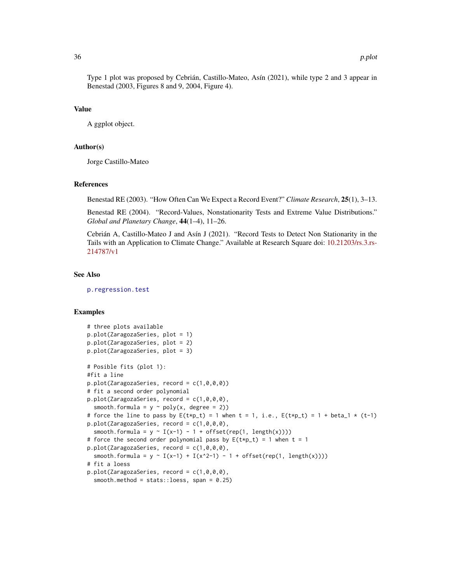<span id="page-35-0"></span>Type 1 plot was proposed by Cebrián, Castillo-Mateo, Asín (2021), while type 2 and 3 appear in Benestad (2003, Figures 8 and 9, 2004, Figure 4).

# Value

A ggplot object.

#### Author(s)

Jorge Castillo-Mateo

#### References

Benestad RE (2003). "How Often Can We Expect a Record Event?" *Climate Research*, 25(1), 3–13.

Benestad RE (2004). "Record-Values, Nonstationarity Tests and Extreme Value Distributions." *Global and Planetary Change*, 44(1–4), 11–26.

Cebrián A, Castillo-Mateo J and Asín J (2021). "Record Tests to Detect Non Stationarity in the Tails with an Application to Climate Change." Available at Research Square doi: [10.21203/rs.3.rs-](https://doi.org/10.21203/rs.3.rs-214787/v1)[214787/v1](https://doi.org/10.21203/rs.3.rs-214787/v1)

#### See Also

[p.regression.test](#page-37-1)

#### Examples

```
# three plots available
p.plot(ZaragozaSeries, plot = 1)
p.plot(ZaragozaSeries, plot = 2)
p.plot(ZaragozaSeries, plot = 3)
# Posible fits (plot 1):
#fit a line
p.plot(ZaragozaSeries, record = c(1,0,0,0))
# fit a second order polynomial
p.plot(ZaragozaSeries, record = c(1,0,0,0),
 smooth.formula = y \sim poly(x, \text{ degree = 2)})# force the line to pass by E(t*p_t) = 1 when t = 1, i.e., E(t*p_t) = 1 + beta_1 * (t-1)p.plot(ZaragozaSeries, record = c(1,0,0,0),
 smooth.formula = y \sim I(x-1) - 1 + \text{offset}(\text{rep}(1, \text{length}(x))))# force the second order polynomial pass by E(t*p_t t) = 1 when t = 1p.plot(ZaragozaSeries, record = c(1,0,0,0),
 smooth.formula = y \sim I(x-1) + I(x-2-1) - 1 + offset(rep(1, length(x))))# fit a loess
p.plot(ZaragozaSeries, record = c(1,0,0,0),
 smooth.method = stats::loess, span = 0.25)
```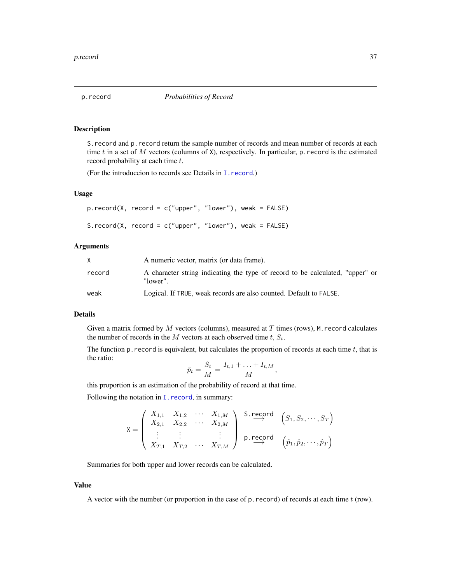<span id="page-36-2"></span><span id="page-36-0"></span>

# <span id="page-36-1"></span>Description

S.record and p.record return the sample number of records and mean number of records at each time t in a set of M vectors (columns of X), respectively. In particular, p. record is the estimated record probability at each time t.

(For the introduccion to records see Details in [I.record](#page-17-1).)

# Usage

```
p.record(X, record = c("upper", "lower"), weak = FALSE)
S.record(X, record = c("upper", "lower"), weak = FALSE)
```
#### Arguments

| X      | A numeric vector, matrix (or data frame).                                                 |
|--------|-------------------------------------------------------------------------------------------|
| record | A character string indicating the type of record to be calculated, "upper" or<br>"lower". |
| weak   | Logical. If TRUE, weak records are also counted. Default to FALSE.                        |

# Details

Given a matrix formed by  $M$  vectors (columns), measured at  $T$  times (rows), M. record calculates the number of records in the M vectors at each observed time  $t$ ,  $S_t$ .

The function  $p$ . record is equivalent, but calculates the proportion of records at each time  $t$ , that is the ratio:

$$
\hat{p}_t = \frac{S_t}{M} = \frac{I_{t,1} + \ldots + I_{t,M}}{M}
$$

,

this proportion is an estimation of the probability of record at that time.

Following the notation in I. record, in summary:

$$
\mathbf{X} = \begin{pmatrix} X_{1,1} & X_{1,2} & \cdots & X_{1,M} \\ X_{2,1} & X_{2,2} & \cdots & X_{2,M} \\ \vdots & \vdots & & \vdots \\ X_{T,1} & X_{T,2} & \cdots & X_{T,M} \end{pmatrix} \xrightarrow{\mathbf{S}.\mathsf{record}} \begin{pmatrix} S_1, S_2, \cdots, S_T \\ \vdots \\ \mathbf{p}.\mathsf{record}} \\ \left(\hat{p}_1, \hat{p}_2, \cdots, \hat{p}_T\right)
$$

Summaries for both upper and lower records can be calculated.

#### Value

A vector with the number (or proportion in the case of  $p$ . record) of records at each time  $t$  (row).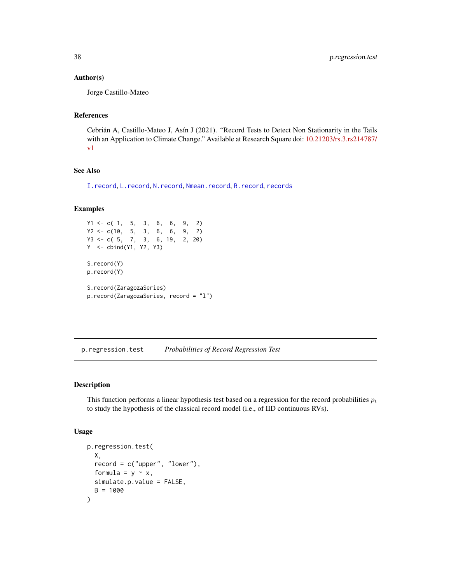#### <span id="page-37-0"></span>Author(s)

Jorge Castillo-Mateo

# References

Cebrián A, Castillo-Mateo J, Asín J (2021). "Record Tests to Detect Non Stationarity in the Tails with an Application to Climate Change." Available at Research Square doi: [10.21203/rs.3.rs214787/](https://doi.org/10.21203/rs.3.rs-214787/v1) [v1](https://doi.org/10.21203/rs.3.rs-214787/v1)

# See Also

[I.record](#page-17-1), [L.record](#page-20-1), [N.record](#page-26-1), [Nmean.record](#page-26-2), [R.record](#page-41-1), [records](#page-43-1)

# Examples

```
Y1 \leq -c(1, 5, 3, 6, 6, 9, 2)Y2 <- c(10, 5, 3, 6, 6, 9, 2)
Y3 <- c( 5, 7, 3, 6, 19, 2, 20)
Y <- cbind(Y1, Y2, Y3)
S.record(Y)
p.record(Y)
S.record(ZaragozaSeries)
p.record(ZaragozaSeries, record = "l")
```
<span id="page-37-1"></span>p.regression.test *Probabilities of Record Regression Test*

# Description

This function performs a linear hypothesis test based on a regression for the record probabilities  $p_t$ to study the hypothesis of the classical record model (i.e., of IID continuous RVs).

#### Usage

```
p.regression.test(
 X,
  record = c("upper", "lower"),formula = y \sim x,
  simulate.p.value = FALSE,
 B = 1000)
```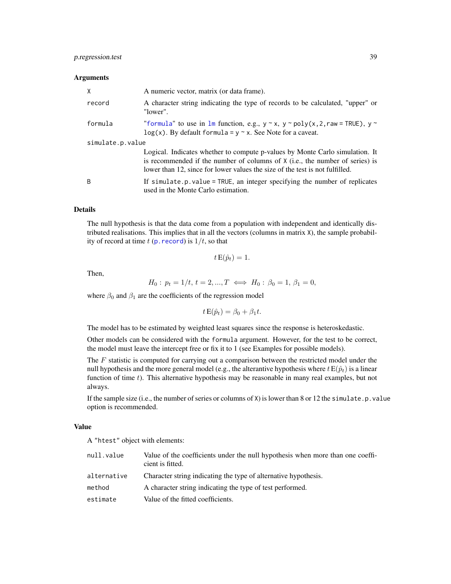#### <span id="page-38-0"></span>**Arguments**

| X                | A numeric vector, matrix (or data frame).                                                                                                                                                                                                    |  |
|------------------|----------------------------------------------------------------------------------------------------------------------------------------------------------------------------------------------------------------------------------------------|--|
| record           | A character string indicating the type of records to be calculated, "upper" or<br>"lower".                                                                                                                                                   |  |
| formula          | "formula" to use in $lm$ function, e.g., $y \sim x$ , $y \sim poly(x, 2, raw = TRUE)$ , $y \sim$<br>$log(x)$ . By default formula = y $\sim$ x. See Note for a caveat.                                                                       |  |
| simulate.p.value |                                                                                                                                                                                                                                              |  |
|                  | Logical. Indicates whether to compute p-values by Monte Carlo simulation. It<br>is recommended if the number of columns of X (i.e., the number of series) is<br>lower than 12, since for lower values the size of the test is not fulfilled. |  |
| B                | If $simulate.p.value = TRUE$ , an integer specifying the number of replicates<br>used in the Monte Carlo estimation.                                                                                                                         |  |

#### Details

The null hypothesis is that the data come from a population with independent and identically distributed realisations. This implies that in all the vectors (columns in matrix X), the sample probability of record at time t (p. record) is  $1/t$ , so that

$$
t\,\mathrm{E}(\hat{p}_t)=1.
$$

Then,

$$
H_0: p_t = 1/t, t = 2, ..., T \iff H_0: \beta_0 = 1, \beta_1 = 0,
$$

where  $\beta_0$  and  $\beta_1$  are the coefficients of the regression model

 $t E(\hat{p}_t) = \beta_0 + \beta_1 t.$ 

The model has to be estimated by weighted least squares since the response is heteroskedastic.

Other models can be considered with the formula argument. However, for the test to be correct, the model must leave the intercept free or fix it to 1 (see Examples for possible models).

The  $F$  statistic is computed for carrying out a comparison between the restricted model under the null hypothesis and the more general model (e.g., the alterantive hypothesis where  $t E(\hat{p}_t)$  is a linear function of time  $t$ ). This alternative hypothesis may be reasonable in many real examples, but not always.

If the sample size (i.e., the number of series or columns of  $X$ ) is lower than 8 or 12 the simulate.p. value option is recommended.

### Value

A "htest" object with elements:

| null.value  | Value of the coefficients under the null hypothesis when more than one coeff-<br>cient is fitted. |
|-------------|---------------------------------------------------------------------------------------------------|
| alternative | Character string indicating the type of alternative hypothesis.                                   |
| method      | A character string indicating the type of test performed.                                         |
| estimate    | Value of the fitted coefficients.                                                                 |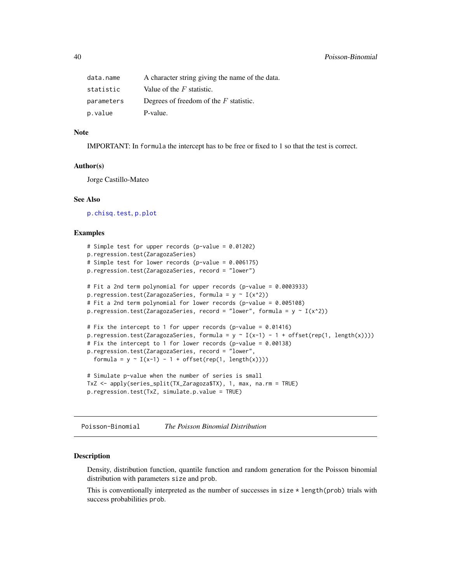<span id="page-39-0"></span>

| data.name  | A character string giving the name of the data. |
|------------|-------------------------------------------------|
| statistic  | Value of the $F$ statistic.                     |
| parameters | Degrees of freedom of the $F$ statistic.        |
| p.value    | P-value.                                        |

#### Note

IMPORTANT: In formula the intercept has to be free or fixed to 1 so that the test is correct.

#### Author(s)

Jorge Castillo-Mateo

#### See Also

[p.chisq.test](#page-31-1), [p.plot](#page-33-1)

#### Examples

```
# Simple test for upper records (p-value = 0.01202)
p.regression.test(ZaragozaSeries)
# Simple test for lower records (p-value = 0.006175)
p.regression.test(ZaragozaSeries, record = "lower")
# Fit a 2nd term polynomial for upper records (p-value = 0.0003933)
p.regression.test(ZaragozaSeries, formula = y \sim I(x^2))
# Fit a 2nd term polynomial for lower records (p-value = 0.005108)
p.regression.test(ZaragozaSeries, record = "lower", formula = y \sim I(x^2))
# Fix the intercept to 1 for upper records (p-value = 0.01416)
p.regression.test(ZaragozaSeries, formula = y \sim I(x-1) - 1 + \text{offset}(\text{rep}(1, \text{length}(x))))# Fix the intercept to 1 for lower records (p-value = 0.00138)
p.regression.test(ZaragozaSeries, record = "lower",
 formula = y \sim I(x-1) - 1 + \text{offset}(\text{rep}(1, \text{length}(x))))# Simulate p-value when the number of series is small
TxZ <- apply(series_split(TX_Zaragoza$TX), 1, max, na.rm = TRUE)
p.regression.test(TxZ, simulate.p.value = TRUE)
```
Poisson-Binomial *The Poisson Binomial Distribution*

#### <span id="page-39-1"></span>Description

Density, distribution function, quantile function and random generation for the Poisson binomial distribution with parameters size and prob.

This is conventionally interpreted as the number of successes in size  $\star$  length(prob) trials with success probabilities prob.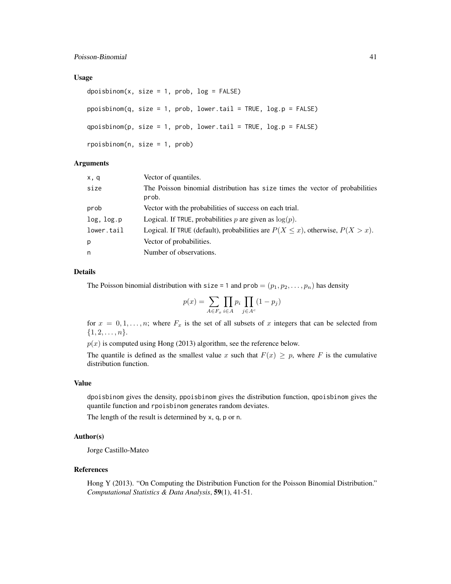#### Usage

```
dpoishinom(x, size = 1, prob, log = FALSE)ppoisbinom(q, size = 1, prob, lower.tail = TRUE, log.p = FALSE)
qpoisbinom(p, size = 1, prob, lower.tail = TRUE, log.p = FALSE)
rpoisbinom(n, size = 1, prob)
```
#### Arguments

| x, q       | Vector of quantiles.                                                                  |
|------------|---------------------------------------------------------------------------------------|
| size       | The Poisson binomial distribution has size times the vector of probabilities<br>prob. |
| prob       | Vector with the probabilities of success on each trial.                               |
| log, log.p | Logical. If TRUE, probabilities p are given as $log(p)$ .                             |
| lower.tail | Logical. If TRUE (default), probabilities are $P(X \le x)$ , otherwise, $P(X > x)$ .  |
| p          | Vector of probabilities.                                                              |
| n          | Number of observations.                                                               |

# Details

The Poisson binomial distribution with size = 1 and prob =  $(p_1, p_2, \ldots, p_n)$  has density

$$
p(x) = \sum_{A \in F_x} \prod_{i \in A} p_i \prod_{j \in A^c} (1 - p_j)
$$

for  $x = 0, 1, \ldots, n$ ; where  $F_x$  is the set of all subsets of x integers that can be selected from  $\{1, 2, \ldots, n\}.$ 

 $p(x)$  is computed using Hong (2013) algorithm, see the reference below.

The quantile is defined as the smallest value x such that  $F(x) \geq p$ , where F is the cumulative distribution function.

#### Value

dpoisbinom gives the density, ppoisbinom gives the distribution function, qpoisbinom gives the quantile function and rpoisbinom generates random deviates.

The length of the result is determined by x, q, p or n.

# Author(s)

Jorge Castillo-Mateo

#### References

Hong Y (2013). "On Computing the Distribution Function for the Poisson Binomial Distribution." *Computational Statistics & Data Analysis*, 59(1), 41-51.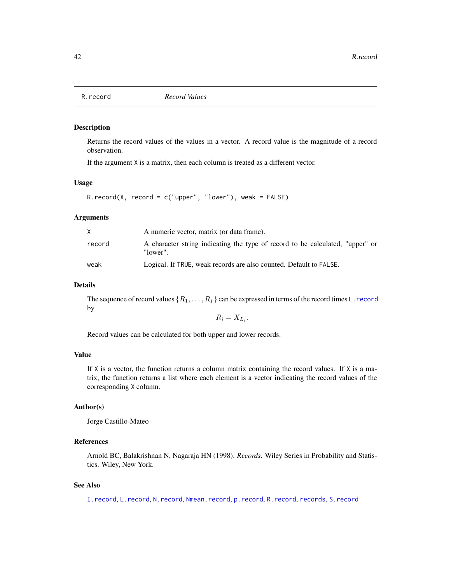<span id="page-41-1"></span><span id="page-41-0"></span>

#### Description

Returns the record values of the values in a vector. A record value is the magnitude of a record observation.

If the argument X is a matrix, then each column is treated as a different vector.

#### Usage

```
R.record(X, record = c("upper", "lower"), weak = FALSE)
```
#### Arguments

|        | A numeric vector, matrix (or data frame).                                                 |
|--------|-------------------------------------------------------------------------------------------|
| record | A character string indicating the type of record to be calculated, "upper" or<br>"lower". |
| weak   | Logical. If TRUE, weak records are also counted. Default to FALSE.                        |

# Details

The sequence of record values  $\{R_1, \ldots, R_I\}$  can be expressed in terms of the record times L. record by

$$
R_i = X_{L_i}.
$$

Record values can be calculated for both upper and lower records.

# Value

If X is a vector, the function returns a column matrix containing the record values. If X is a matrix, the function returns a list where each element is a vector indicating the record values of the corresponding X column.

# Author(s)

Jorge Castillo-Mateo

# References

Arnold BC, Balakrishnan N, Nagaraja HN (1998). *Records*. Wiley Series in Probability and Statistics. Wiley, New York.

# See Also

[I.record](#page-17-1), [L.record](#page-20-1), [N.record](#page-26-1), [Nmean.record](#page-26-2), [p.record](#page-36-2), [R.record](#page-41-1), [records](#page-43-1), [S.record](#page-36-1)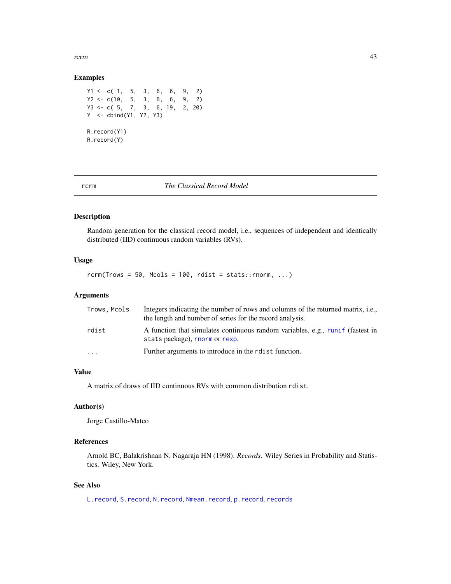<span id="page-42-0"></span>rcrm and the contract of the contract of the contract of the contract of the contract of the contract of the contract of the contract of the contract of the contract of the contract of the contract of the contract of the c

#### Examples

 $Y1 \leq -c(1, 5, 3, 6, 6, 9, 2)$  $YZ \leq c(10, 5, 3, 6, 6, 9, 2)$ Y3 <- c( 5, 7, 3, 6, 19, 2, 20) Y <- cbind(Y1, Y2, Y3) R.record(Y1) R.record(Y)

# <span id="page-42-1"></span>rcrm *The Classical Record Model*

# Description

Random generation for the classical record model, i.e., sequences of independent and identically distributed (IID) continuous random variables (RVs).

# Usage

 $rcrm(Trows = 50, Mcols = 100, rdist = stats::rnorm, ...)$ 

#### Arguments

| Trows, Mcols | Integers indicating the number of rows and columns of the returned matrix, <i>i.e.</i> ,<br>the length and number of series for the record analysis. |
|--------------|------------------------------------------------------------------------------------------------------------------------------------------------------|
| rdist        | A function that simulates continuous random variables, e.g., runif (fastest in<br>stats package), rnorm or rexp.                                     |
| $\cdot$      | Further arguments to introduce in the rest function.                                                                                                 |

#### Value

A matrix of draws of IID continuous RVs with common distribution rdist.

#### Author(s)

Jorge Castillo-Mateo

# References

Arnold BC, Balakrishnan N, Nagaraja HN (1998). *Records*. Wiley Series in Probability and Statistics. Wiley, New York.

# See Also

[L.record](#page-20-1), [S.record](#page-36-1), [N.record](#page-26-1), [Nmean.record](#page-26-2), [p.record](#page-36-2), [records](#page-43-1)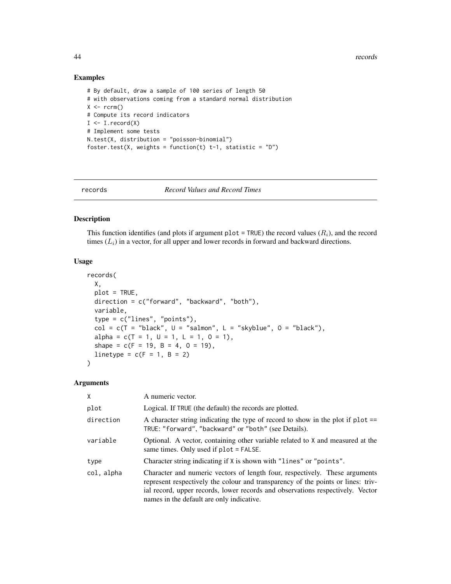44 records

#### Examples

```
# By default, draw a sample of 100 series of length 50
# with observations coming from a standard normal distribution
X \leftarrow \text{rcrm}()# Compute its record indicators
I \leftarrow I. record(X)# Implement some tests
N.test(X, distribution = "poisson-binomial")
foster.test(X, weights = function(t) t-1, statistic = "D")
```
<span id="page-43-1"></span>

records *Record Values and Record Times*

#### Description

This function identifies (and plots if argument plot = TRUE) the record values  $(R<sub>i</sub>)$ , and the record times  $(L<sub>i</sub>)$  in a vector, for all upper and lower records in forward and backward directions.

#### Usage

```
records(
 X,
 plot = TRUE,
 direction = c("forward", "backward", "both"),
 variable,
  type = c("lines", "points"),
 col = c(T = "black", U = "salmon", L = "skyblue", 0 = "black"),alpha = c(T = 1, U = 1, L = 1, 0 = 1),shape = c(F = 19, B = 4, 0 = 19),
 linetype = c(F = 1, B = 2))
```
#### Arguments

| X          | A numeric vector.                                                                                                                                                                                                                                                                              |
|------------|------------------------------------------------------------------------------------------------------------------------------------------------------------------------------------------------------------------------------------------------------------------------------------------------|
| plot       | Logical. If TRUE (the default) the records are plotted.                                                                                                                                                                                                                                        |
| direction  | A character string indicating the type of record to show in the plot if $plot ==$<br>TRUE: "forward", "backward" or "both" (see Details).                                                                                                                                                      |
| variable   | Optional. A vector, containing other variable related to X and measured at the<br>same times. Only used if $plot = FALSE$ .                                                                                                                                                                    |
| type       | Character string indicating if X is shown with "lines" or "points".                                                                                                                                                                                                                            |
| col, alpha | Character and numeric vectors of length four, respectively. These arguments<br>represent respectively the colour and transparency of the points or lines: triv-<br>ial record, upper records, lower records and observations respectively. Vector<br>names in the default are only indicative. |

<span id="page-43-0"></span>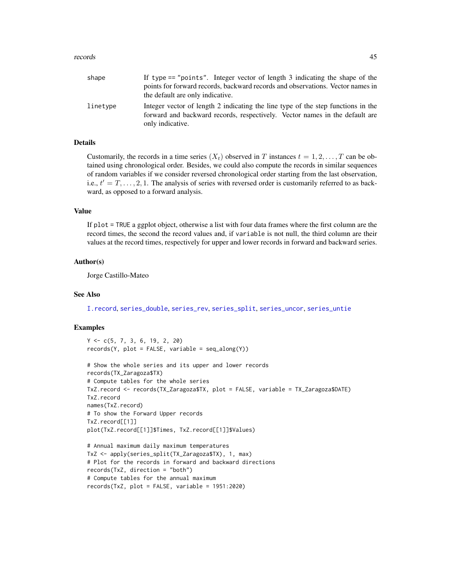#### <span id="page-44-0"></span>records and the set of the set of the set of the set of the set of the set of the set of the set of the set of the set of the set of the set of the set of the set of the set of the set of the set of the set of the set of t

| shape    | If type $==$ "points". Integer vector of length 3 indicating the shape of the<br>points for forward records, backward records and observations. Vector names in<br>the default are only indicative. |
|----------|-----------------------------------------------------------------------------------------------------------------------------------------------------------------------------------------------------|
| linetype | Integer vector of length 2 indicating the line type of the step functions in the<br>forward and backward records, respectively. Vector names in the default are<br>only indicative.                 |

# Details

Customarily, the records in a time series  $(X_t)$  observed in T instances  $t = 1, 2, \ldots, T$  can be obtained using chronological order. Besides, we could also compute the records in similar sequences of random variables if we consider reversed chronological order starting from the last observation, i.e.,  $t' = T, \ldots, 2, 1$ . The analysis of series with reversed order is customarily referred to as backward, as opposed to a forward analysis.

# Value

If plot = TRUE a ggplot object, otherwise a list with four data frames where the first column are the record times, the second the record values and, if variable is not null, the third column are their values at the record times, respectively for upper and lower records in forward and backward series.

#### Author(s)

Jorge Castillo-Mateo

#### See Also

[I.record](#page-17-1), [series\\_double](#page-47-1), [series\\_rev](#page-49-1), [series\\_split](#page-50-1), [series\\_uncor](#page-53-1), [series\\_untie](#page-55-1)

# Examples

```
Y <- c(5, 7, 3, 6, 19, 2, 20)
records(Y, plot = FALSE, variable = seq_along(Y))
```

```
# Show the whole series and its upper and lower records
records(TX_Zaragoza$TX)
# Compute tables for the whole series
TxZ.record <- records(TX_Zaragoza$TX, plot = FALSE, variable = TX_Zaragoza$DATE)
TxZ.record
names(TxZ.record)
# To show the Forward Upper records
TxZ.record[[1]]
plot(TxZ.record[[1]]$Times, TxZ.record[[1]]$Values)
```

```
# Annual maximum daily maximum temperatures
TxZ <- apply(series_split(TX_Zaragoza$TX), 1, max)
# Plot for the records in forward and backward directions
records(TxZ, direction = "both")
# Compute tables for the annual maximum
records(TxZ, plot = FALSE, variable = 1951:2020)
```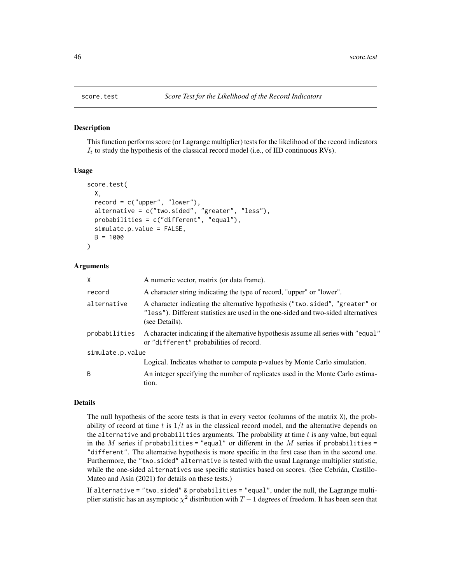<span id="page-45-1"></span><span id="page-45-0"></span>

#### Description

This function performs score (or Lagrange multiplier) tests for the likelihood of the record indicators  $I_t$  to study the hypothesis of the classical record model (i.e., of IID continuous RVs).

### Usage

```
score.test(
 X,
  record = c("upper", "lower"),
  alternative = c("two.sided", "greater", "less"),
 probabilities = c("different", "equal"),
  simulate.p.value = FALSE,
  B = 1000)
```
### Arguments

| X                | A numeric vector, matrix (or data frame).                                                                                                                                            |
|------------------|--------------------------------------------------------------------------------------------------------------------------------------------------------------------------------------|
| record           | A character string indicating the type of record, "upper" or "lower".                                                                                                                |
| alternative      | A character indicating the alternative hypothesis ("two.sided", "greater" or<br>"less"). Different statistics are used in the one-sided and two-sided alternatives<br>(see Details). |
| probabilities    | A character indicating if the alternative hypothesis assume all series with "equal"<br>or "different" probabilities of record.                                                       |
| simulate.p.value |                                                                                                                                                                                      |
|                  | Logical. Indicates whether to compute p-values by Monte Carlo simulation.                                                                                                            |
| B                | An integer specifying the number of replicates used in the Monte Carlo estima-<br>tion.                                                                                              |

#### Details

The null hypothesis of the score tests is that in every vector (columns of the matrix X), the probability of record at time t is  $1/t$  as in the classical record model, and the alternative depends on the alternative and probabilities arguments. The probability at time  $t$  is any value, but equal in the M series if probabilities = "equal" or different in the M series if probabilities = "different". The alternative hypothesis is more specific in the first case than in the second one. Furthermore, the "two.sided" alternative is tested with the usual Lagrange multiplier statistic, while the one-sided alternatives use specific statistics based on scores. (See Cebrián, Castillo-Mateo and Asín (2021) for details on these tests.)

If alternative = "two.sided" & probabilities = "equal", under the null, the Lagrange multiplier statistic has an asymptotic  $\chi^2$  distribution with  $T-1$  degrees of freedom. It has been seen that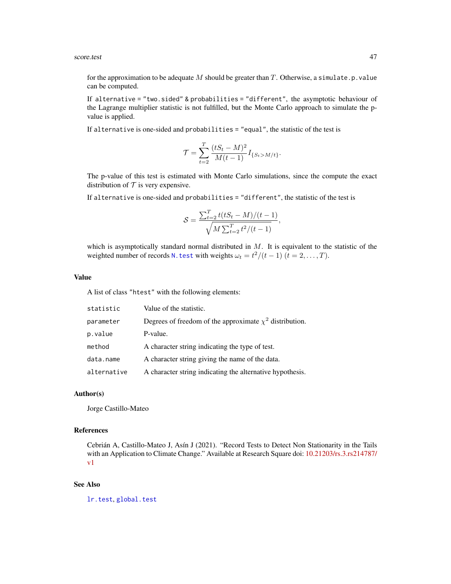#### <span id="page-46-0"></span>score.test 47

for the approximation to be adequate M should be greater than T. Otherwise, a simulate.p. value can be computed.

If alternative = "two.sided" & probabilities = "different", the asymptotic behaviour of the Lagrange multiplier statistic is not fulfilled, but the Monte Carlo approach to simulate the pvalue is applied.

If alternative is one-sided and probabilities = "equal", the statistic of the test is

$$
\mathcal{T} = \sum_{t=2}^{T} \frac{(tS_t - M)^2}{M(t-1)} I_{\{S_t > M/t\}}.
$$

The p-value of this test is estimated with Monte Carlo simulations, since the compute the exact distribution of  $T$  is very expensive.

If alternative is one-sided and probabilities = "different", the statistic of the test is

$$
S = \frac{\sum_{t=2}^{T} t(tS_t - M)/(t - 1)}{\sqrt{M \sum_{t=2}^{T} t^2/(t - 1)}},
$$

which is asymptotically standard normal distributed in  $M$ . It is equivalent to the statistic of the weighted number of records N. test with weights  $\omega_t = t^2/(t-1)$   $(t = 2, ..., T)$ .

#### Value

A list of class "htest" with the following elements:

| statistic   | Value of the statistic.                                      |
|-------------|--------------------------------------------------------------|
| parameter   | Degrees of freedom of the approximate $\chi^2$ distribution. |
| p.value     | P-value.                                                     |
| method      | A character string indicating the type of test.              |
| data.name   | A character string giving the name of the data.              |
| alternative | A character string indicating the alternative hypothesis.    |

# Author(s)

Jorge Castillo-Mateo

# References

Cebrián A, Castillo-Mateo J, Asín J (2021). "Record Tests to Detect Non Stationarity in the Tails with an Application to Climate Change." Available at Research Square doi: [10.21203/rs.3.rs214787/](https://doi.org/10.21203/rs.3.rs-214787/v1) [v1](https://doi.org/10.21203/rs.3.rs-214787/v1)

#### See Also

[lr.test](#page-21-1), [global.test](#page-15-1)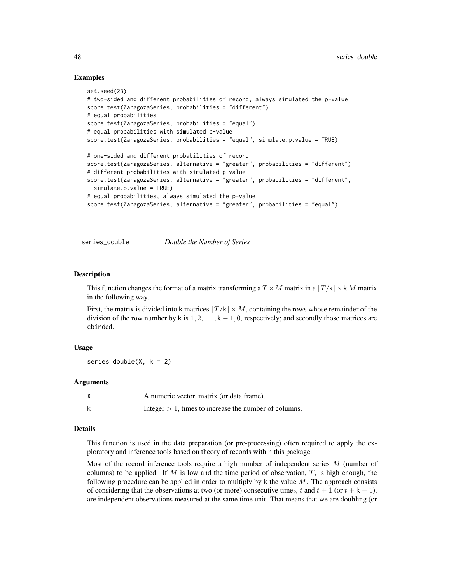#### Examples

```
set.seed(23)
# two-sided and different probabilities of record, always simulated the p-value
score.test(ZaragozaSeries, probabilities = "different")
# equal probabilities
score.test(ZaragozaSeries, probabilities = "equal")
# equal probabilities with simulated p-value
score.test(ZaragozaSeries, probabilities = "equal", simulate.p.value = TRUE)
# one-sided and different probabilities of record
score.test(ZaragozaSeries, alternative = "greater", probabilities = "different")
# different probabilities with simulated p-value
score.test(ZaragozaSeries, alternative = "greater", probabilities = "different",
 simulate.p.value = TRUE)
# equal probabilities, always simulated the p-value
score.test(ZaragozaSeries, alternative = "greater", probabilities = "equal")
```
<span id="page-47-1"></span>series\_double *Double the Number of Series*

#### **Description**

This function changes the format of a matrix transforming a  $T \times M$  matrix in a  $|T/k| \times k M$  matrix in the following way.

First, the matrix is divided into k matrices  $|T/k| \times M$ , containing the rows whose remainder of the division of the row number by k is  $1, 2, \ldots, k - 1, 0$ , respectively; and secondly those matrices are cbinded.

#### Usage

series\_double( $X, k = 2$ )

#### **Arguments**

| A numeric vector, matrix (or data frame).                |
|----------------------------------------------------------|
| Integer $> 1$ , times to increase the number of columns. |

#### Details

This function is used in the data preparation (or pre-processing) often required to apply the exploratory and inference tools based on theory of records within this package.

Most of the record inference tools require a high number of independent series  $M$  (number of columns) to be applied. If M is low and the time period of observation, T, is high enough, the following procedure can be applied in order to multiply by  $k$  the value  $M$ . The approach consists of considering that the observations at two (or more) consecutive times, t and  $t + 1$  (or  $t + k - 1$ ), are independent observations measured at the same time unit. That means that we are doubling (or

<span id="page-47-0"></span>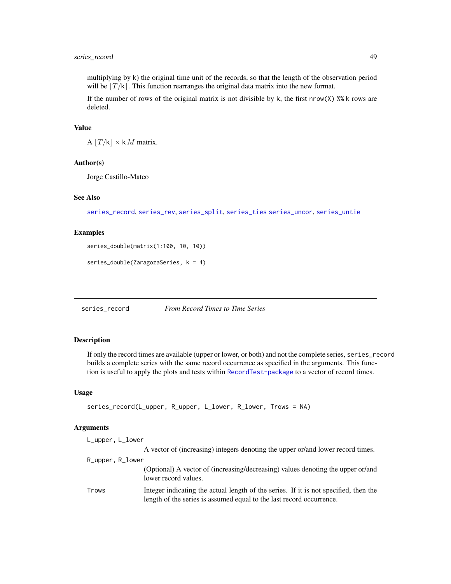# <span id="page-48-0"></span>series\_record 49

multiplying by k) the original time unit of the records, so that the length of the observation period will be  $|T/k|$ . This function rearranges the original data matrix into the new format.

If the number of rows of the original matrix is not divisible by k, the first  $\text{rrow}(X)$  %% k rows are deleted.

#### Value

A  $|T/k| \times k M$  matrix.

# Author(s)

Jorge Castillo-Mateo

#### See Also

[series\\_record](#page-48-1), [series\\_rev](#page-49-1), [series\\_split](#page-50-1), [series\\_ties](#page-52-1) [series\\_uncor](#page-53-1), [series\\_untie](#page-55-1)

#### Examples

```
series_double(matrix(1:100, 10, 10))
```

```
series_double(ZaragozaSeries, k = 4)
```
<span id="page-48-1"></span>series\_record *From Record Times to Time Series*

# Description

If only the record times are available (upper or lower, or both) and not the complete series, series\_record builds a complete series with the same record occurrence as specified in the arguments. This function is useful to apply the plots and tests within [RecordTest-package](#page-1-1) to a vector of record times.

#### Usage

```
series_record(L_upper, R_upper, L_lower, R_lower, Trows = NA)
```
# Arguments

| L_upper, L_lower |                                                                                                                                                              |
|------------------|--------------------------------------------------------------------------------------------------------------------------------------------------------------|
|                  | A vector of (increasing) integers denoting the upper or/and lower record times.                                                                              |
| R_upper, R_lower |                                                                                                                                                              |
|                  | (Optional) A vector of (increasing/decreasing) values denoting the upper or/and<br>lower record values.                                                      |
| Trows            | Integer indicating the actual length of the series. If it is not specified, then the<br>length of the series is assumed equal to the last record occurrence. |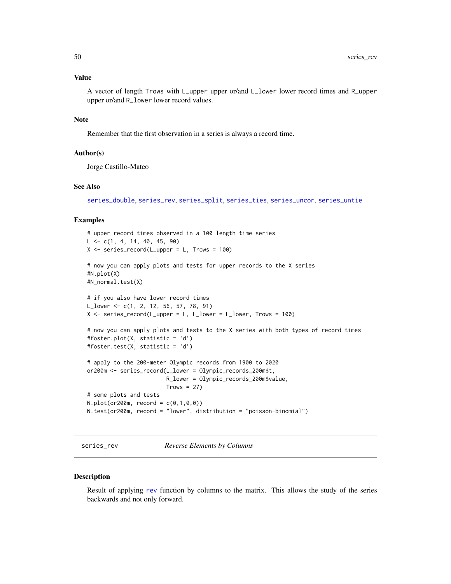# <span id="page-49-0"></span>Value

A vector of length Trows with L\_upper upper or/and L\_lower lower record times and R\_upper upper or/and R\_lower lower record values.

#### Note

Remember that the first observation in a series is always a record time.

# Author(s)

Jorge Castillo-Mateo

#### See Also

[series\\_double](#page-47-1), [series\\_rev](#page-49-1), [series\\_split](#page-50-1), [series\\_ties](#page-52-1), [series\\_uncor](#page-53-1), [series\\_untie](#page-55-1)

#### Examples

```
# upper record times observed in a 100 length time series
L \leq -c(1, 4, 14, 40, 45, 90)X \le - series_record(L_upper = L, Trows = 100)
# now you can apply plots and tests for upper records to the X series
#N.plot(X)
#N_normal.test(X)
# if you also have lower record times
L_lower <- c(1, 2, 12, 56, 57, 78, 91)
X \le series_record(L_upper = L, L_lower = L_lower, Trows = 100)
# now you can apply plots and tests to the X series with both types of record times
#foster.plot(X, statistic = 'd')
#foster.test(X, statistic = 'd')
# apply to the 200-meter Olympic records from 1900 to 2020
or200m <- series_record(L_lower = Olympic_records_200m$t,
                        R_lower = Olympic_records_200m$value,
                        Trows = 27# some plots and tests
N.plot(or200m, record = c(0,1,0,0))N.test(or200m, record = "lower", distribution = "poisson-binomial")
```
#### <span id="page-49-1"></span>series\_rev *Reverse Elements by Columns*

#### **Description**

Result of applying [rev](#page-0-0) function by columns to the matrix. This allows the study of the series backwards and not only forward.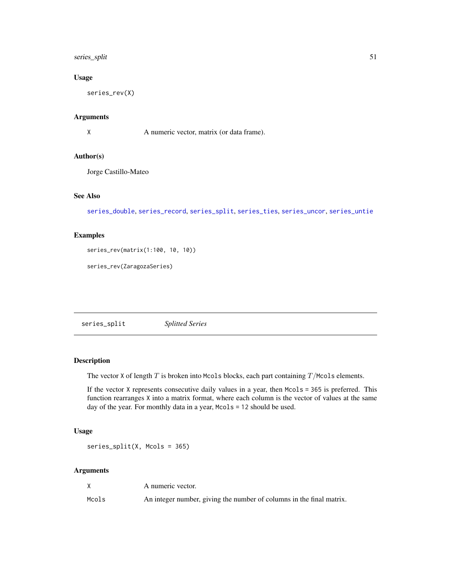# <span id="page-50-0"></span>series\_split 51

# Usage

series\_rev(X)

# Arguments

X A numeric vector, matrix (or data frame).

# Author(s)

Jorge Castillo-Mateo

# See Also

[series\\_double](#page-47-1), [series\\_record](#page-48-1), [series\\_split](#page-50-1), [series\\_ties](#page-52-1), [series\\_uncor](#page-53-1), [series\\_untie](#page-55-1)

# Examples

```
series_rev(matrix(1:100, 10, 10))
```

```
series_rev(ZaragozaSeries)
```
<span id="page-50-1"></span>series\_split *Splitted Series*

# Description

The vector X of length  $T$  is broken into Mcols blocks, each part containing  $T/M \text{cols}$  elements.

If the vector X represents consecutive daily values in a year, then Mcols = 365 is preferred. This function rearranges X into a matrix format, where each column is the vector of values at the same day of the year. For monthly data in a year, Mcols = 12 should be used.

#### Usage

series\_split(X, Mcols = 365)

# Arguments

|       | A numeric vector.                                                    |
|-------|----------------------------------------------------------------------|
| Mcols | An integer number, giving the number of columns in the final matrix. |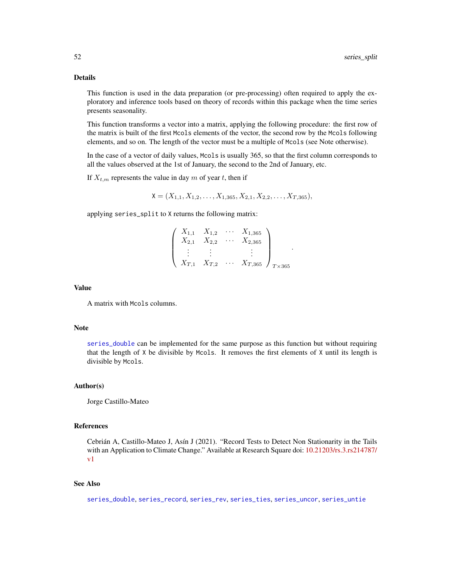# <span id="page-51-0"></span>Details

This function is used in the data preparation (or pre-processing) often required to apply the exploratory and inference tools based on theory of records within this package when the time series presents seasonality.

This function transforms a vector into a matrix, applying the following procedure: the first row of the matrix is built of the first Mcols elements of the vector, the second row by the Mcols following elements, and so on. The length of the vector must be a multiple of Mcols (see Note otherwise).

In the case of a vector of daily values, Mcols is usually 365, so that the first column corresponds to all the values observed at the 1st of January, the second to the 2nd of January, etc.

If  $X_{t,m}$  represents the value in day m of year t, then if

 $X = (X_{1,1}, X_{1,2}, \ldots, X_{1,365}, X_{2,1}, X_{2,2}, \ldots, X_{T,365}),$ 

applying series\_split to X returns the following matrix:

|  |                     | $X_{1,1}$ $X_{1,2}$ $\cdots$ $X_{1,365}$                    |  |
|--|---------------------|-------------------------------------------------------------|--|
|  | $X_{2,1}$ $X_{2,2}$ | $\cdots X_{2,365}$                                          |  |
|  |                     |                                                             |  |
|  |                     |                                                             |  |
|  |                     | $X_{T,1}$ $X_{T,2}$ $\cdots$ $X_{T,365}$ / $T_{\times 365}$ |  |

.

#### Value

A matrix with Mcols columns.

#### Note

[series\\_double](#page-47-1) can be implemented for the same purpose as this function but without requiring that the length of X be divisible by Mcols. It removes the first elements of X until its length is divisible by Mcols.

# Author(s)

Jorge Castillo-Mateo

#### References

Cebrián A, Castillo-Mateo J, Asín J (2021). "Record Tests to Detect Non Stationarity in the Tails with an Application to Climate Change." Available at Research Square doi: [10.21203/rs.3.rs214787/](https://doi.org/10.21203/rs.3.rs-214787/v1) [v1](https://doi.org/10.21203/rs.3.rs-214787/v1)

# See Also

[series\\_double](#page-47-1), [series\\_record](#page-48-1), [series\\_rev](#page-49-1), [series\\_ties](#page-52-1), [series\\_uncor](#page-53-1), [series\\_untie](#page-55-1)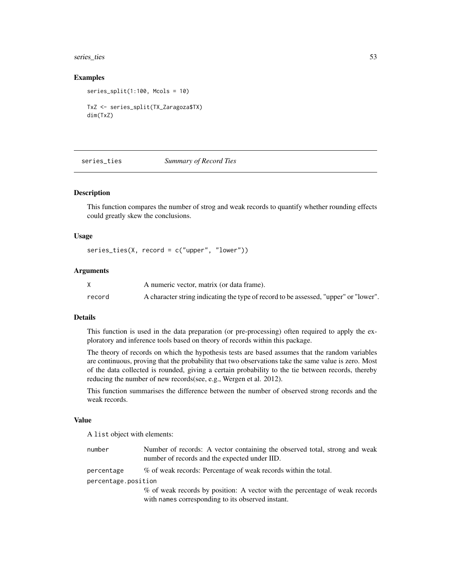# <span id="page-52-0"></span>series\_ties 53

#### Examples

series\_split(1:100, Mcols = 10) TxZ <- series\_split(TX\_Zaragoza\$TX) dim(TxZ)

<span id="page-52-1"></span>series\_ties *Summary of Record Ties*

#### Description

This function compares the number of strog and weak records to quantify whether rounding effects could greatly skew the conclusions.

#### Usage

series\_ties(X, record = c("upper", "lower"))

# Arguments

|        | A numeric vector, matrix (or data frame).                                            |
|--------|--------------------------------------------------------------------------------------|
| record | A character string indicating the type of record to be assessed, "upper" or "lower". |

### Details

This function is used in the data preparation (or pre-processing) often required to apply the exploratory and inference tools based on theory of records within this package.

The theory of records on which the hypothesis tests are based assumes that the random variables are continuous, proving that the probability that two observations take the same value is zero. Most of the data collected is rounded, giving a certain probability to the tie between records, thereby reducing the number of new records(see, e.g., Wergen et al. 2012).

This function summarises the difference between the number of observed strong records and the weak records.

#### Value

A list object with elements:

| number              | Number of records: A vector containing the observed total, strong and weak<br>number of records and the expected under IID. |  |
|---------------------|-----------------------------------------------------------------------------------------------------------------------------|--|
| percentage          | % of weak records: Percentage of weak records within the total.                                                             |  |
| percentage.position |                                                                                                                             |  |
|                     | % of weak records by position: A vector with the percentage of weak records                                                 |  |
|                     | with names corresponding to its observed instant.                                                                           |  |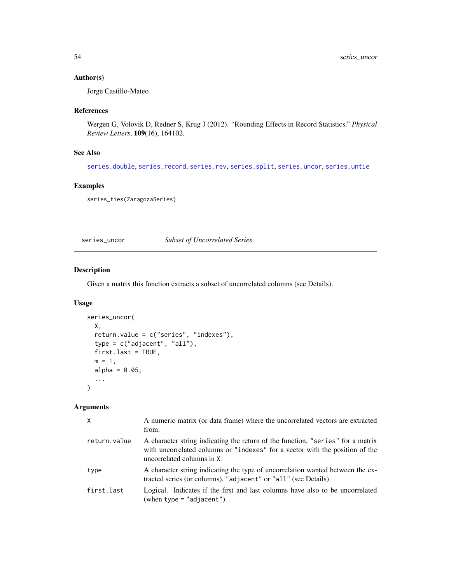# <span id="page-53-0"></span>Author(s)

Jorge Castillo-Mateo

# References

Wergen G, Volovik D, Redner S, Krug J (2012). "Rounding Effects in Record Statistics." *Physical Review Letters*, 109(16), 164102.

# See Also

[series\\_double](#page-47-1), [series\\_record](#page-48-1), [series\\_rev](#page-49-1), [series\\_split](#page-50-1), [series\\_uncor](#page-53-1), [series\\_untie](#page-55-1)

# Examples

series\_ties(ZaragozaSeries)

<span id="page-53-1"></span>series\_uncor *Subset of Uncorrelated Series*

# Description

Given a matrix this function extracts a subset of uncorrelated columns (see Details).

# Usage

```
series_uncor(
 X,
 return.value = c("series", "indexes"),
 type = c("adjacent", "all"),
 first.last = TRUE,
 m = 1,alpha = 0.05,
  ...
)
```
# Arguments

| X            | A numeric matrix (or data frame) where the uncorrelated vectors are extracted<br>from.                                                                                                        |
|--------------|-----------------------------------------------------------------------------------------------------------------------------------------------------------------------------------------------|
| return.value | A character string indicating the return of the function, "series" for a matrix<br>with uncorrelated columns or "indexes" for a vector with the position of the<br>uncorrelated columns in X. |
| type         | A character string indicating the type of uncorrelation wanted between the ex-<br>tracted series (or columns), "adjacent" or "all" (see Details).                                             |
| first.last   | Logical. Indicates if the first and last columns have also to be uncorrelated<br>(when type $=$ "adjacent").                                                                                  |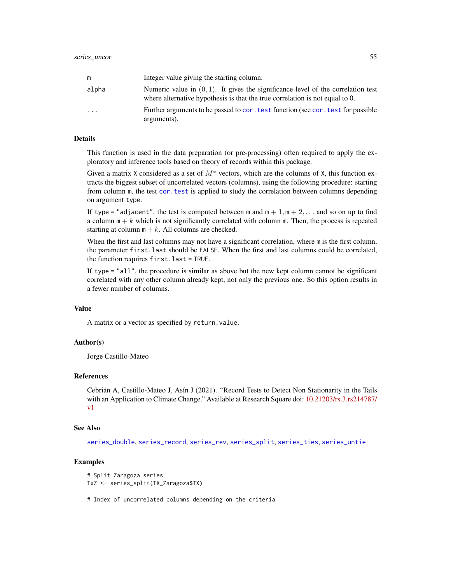<span id="page-54-0"></span>

| m         | Integer value giving the starting column.                                                                                                                           |
|-----------|---------------------------------------------------------------------------------------------------------------------------------------------------------------------|
| alpha     | Numeric value in $(0, 1)$ . It gives the significance level of the correlation test<br>where alternative hypothesis is that the true correlation is not equal to 0. |
| $\ddotsc$ | Further arguments to be passed to cor. test function (see cor. test for possible<br>arguments).                                                                     |

# Details

This function is used in the data preparation (or pre-processing) often required to apply the exploratory and inference tools based on theory of records within this package.

Given a matrix X considered as a set of  $M^*$  vectors, which are the columns of X, this function extracts the biggest subset of uncorrelated vectors (columns), using the following procedure: starting from column m, the test [cor.test](#page-0-0) is applied to study the correlation between columns depending on argument type.

If type = "adjacent", the test is computed between m and  $m + 1$ ,  $m + 2$ ,... and so on up to find a column  $m + k$  which is not significantly correlated with column m. Then, the process is repeated starting at column  $m + k$ . All columns are checked.

When the first and last columns may not have a significant correlation, where m is the first column, the parameter first.last should be FALSE. When the first and last columns could be correlated, the function requires first.last = TRUE.

If type = "all", the procedure is similar as above but the new kept column cannot be significant correlated with any other column already kept, not only the previous one. So this option results in a fewer number of columns.

# Value

A matrix or a vector as specified by return.value.

#### Author(s)

Jorge Castillo-Mateo

# References

Cebrián A, Castillo-Mateo J, Asín J (2021). "Record Tests to Detect Non Stationarity in the Tails with an Application to Climate Change." Available at Research Square doi: [10.21203/rs.3.rs214787/](https://doi.org/10.21203/rs.3.rs-214787/v1) [v1](https://doi.org/10.21203/rs.3.rs-214787/v1)

#### See Also

[series\\_double](#page-47-1), [series\\_record](#page-48-1), [series\\_rev](#page-49-1), [series\\_split](#page-50-1), [series\\_ties](#page-52-1), [series\\_untie](#page-55-1)

#### Examples

```
# Split Zaragoza series
TxZ <- series_split(TX_Zaragoza$TX)
```
# Index of uncorrelated columns depending on the criteria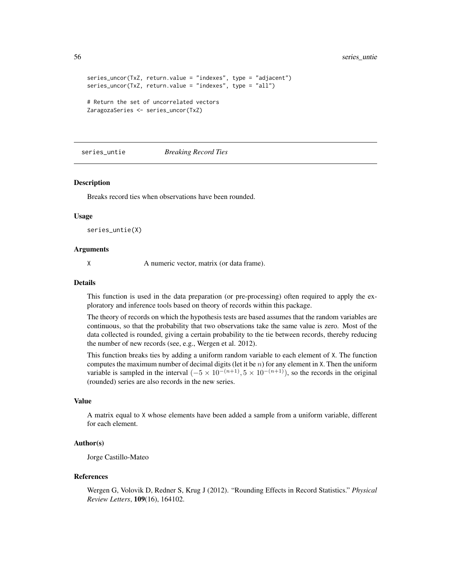```
series_uncor(TxZ, return.value = "indexes", type = "adjacent")
series_uncor(TxZ, return.value = "indexes", type = "all")
# Return the set of uncorrelated vectors
ZaragozaSeries <- series_uncor(TxZ)
```
<span id="page-55-1"></span>series\_untie *Breaking Record Ties*

#### Description

Breaks record ties when observations have been rounded.

#### Usage

series\_untie(X)

#### **Arguments**

X A numeric vector, matrix (or data frame).

# Details

This function is used in the data preparation (or pre-processing) often required to apply the exploratory and inference tools based on theory of records within this package.

The theory of records on which the hypothesis tests are based assumes that the random variables are continuous, so that the probability that two observations take the same value is zero. Most of the data collected is rounded, giving a certain probability to the tie between records, thereby reducing the number of new records (see, e.g., Wergen et al. 2012).

This function breaks ties by adding a uniform random variable to each element of X. The function computes the maximum number of decimal digits (let it be  $n$ ) for any element in X. Then the uniform variable is sampled in the interval  $(-5 \times 10^{-(n+1)}, 5 \times 10^{-(n+1)})$ , so the records in the original (rounded) series are also records in the new series.

#### Value

A matrix equal to X whose elements have been added a sample from a uniform variable, different for each element.

#### Author(s)

Jorge Castillo-Mateo

#### References

Wergen G, Volovik D, Redner S, Krug J (2012). "Rounding Effects in Record Statistics." *Physical Review Letters*, 109(16), 164102.

<span id="page-55-0"></span>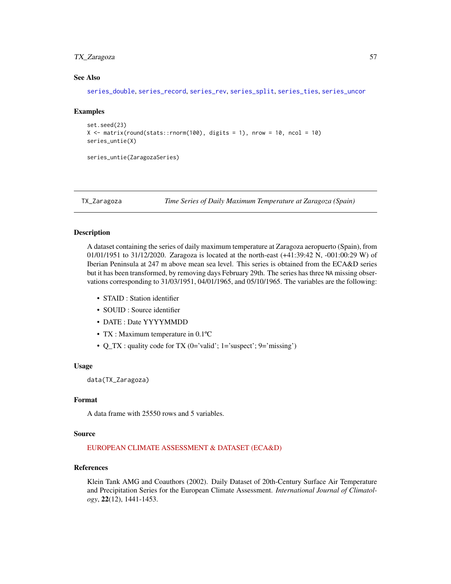# <span id="page-56-0"></span>TX\_Zaragoza 57

### See Also

[series\\_double](#page-47-1), [series\\_record](#page-48-1), [series\\_rev](#page-49-1), [series\\_split](#page-50-1), [series\\_ties](#page-52-1), [series\\_uncor](#page-53-1)

#### Examples

```
set.seed(23)
X \le matrix(round(stats::rnorm(100), digits = 1), nrow = 10, ncol = 10)
series_untie(X)
```
series\_untie(ZaragozaSeries)

<span id="page-56-1"></span>

TX\_Zaragoza *Time Series of Daily Maximum Temperature at Zaragoza (Spain)*

#### Description

A dataset containing the series of daily maximum temperature at Zaragoza aeropuerto (Spain), from 01/01/1951 to 31/12/2020. Zaragoza is located at the north-east (+41:39:42 N, -001:00:29 W) of Iberian Peninsula at 247 m above mean sea level. This series is obtained from the ECA&D series but it has been transformed, by removing days February 29th. The series has three NA missing observations corresponding to 31/03/1951, 04/01/1965, and 05/10/1965. The variables are the following:

- STAID : Station identifier
- SOUID : Source identifier
- DATE : Date YYYYMMDD
- TX : Maximum temperature in 0.1°C
- Q TX : quality code for TX (0='valid'; 1='suspect'; 9='missing')

#### Usage

data(TX\_Zaragoza)

# Format

A data frame with 25550 rows and 5 variables.

#### Source

#### [EUROPEAN CLIMATE ASSESSMENT & DATASET \(ECA&D\)](https://www.ecad.eu)

# References

Klein Tank AMG and Coauthors (2002). Daily Dataset of 20th-Century Surface Air Temperature and Precipitation Series for the European Climate Assessment. *International Journal of Climatology*, 22(12), 1441-1453.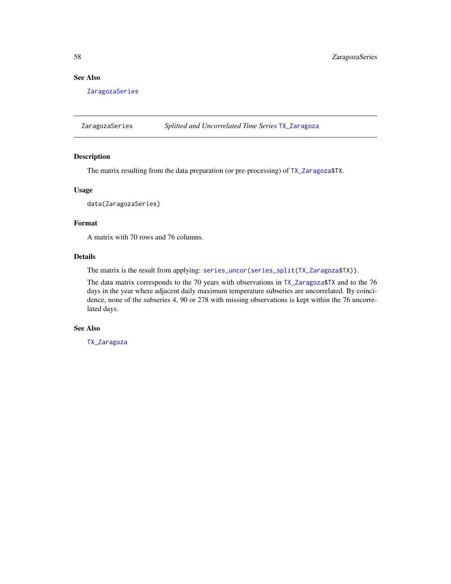# <span id="page-57-0"></span>See Also

[ZaragozaSeries](#page-57-1)

<span id="page-57-1"></span>ZaragozaSeries *Splitted and Uncorrelated Time Series* [TX\\_Zaragoza](#page-56-1)

#### Description

The matrix resulting from the data preparation (or pre-processing) of [TX\\_Zaragoza\\$](#page-56-1)TX.

# Usage

data(ZaragozaSeries)

# Format

A matrix with 70 rows and 76 columns.

# Details

The matrix is the result from applying: [series\\_uncor\(](#page-53-1)[series\\_split](#page-50-1)[\(TX\\_Zaragoza\\$](#page-56-1)TX)).

The data matrix corresponds to the 70 years with observations in [TX\\_Zaragoza\\$](#page-56-1)TX and to the 76 days in the year where adjacent daily maximum temperature subseries are uncorrelated. By coincidence, none of the subseries 4, 90 or 278 with missing observations is kept within the 76 uncorrelated days.

# See Also

[TX\\_Zaragoza](#page-56-1)